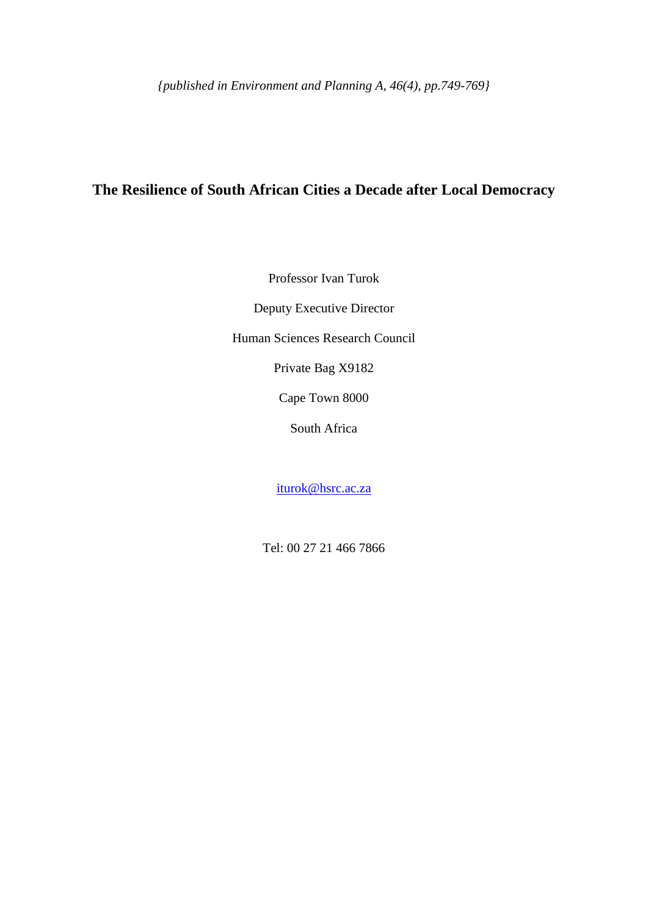*{published in Environment and Planning A, 46(4), pp.749-769}*

# **The Resilience of South African Cities a Decade after Local Democracy**

Professor Ivan Turok

Deputy Executive Director

Human Sciences Research Council

Private Bag X9182

Cape Town 8000

South Africa

[iturok@hsrc.ac.za](mailto:iturok@hsrc.ac.za)

Tel: 00 27 21 466 7866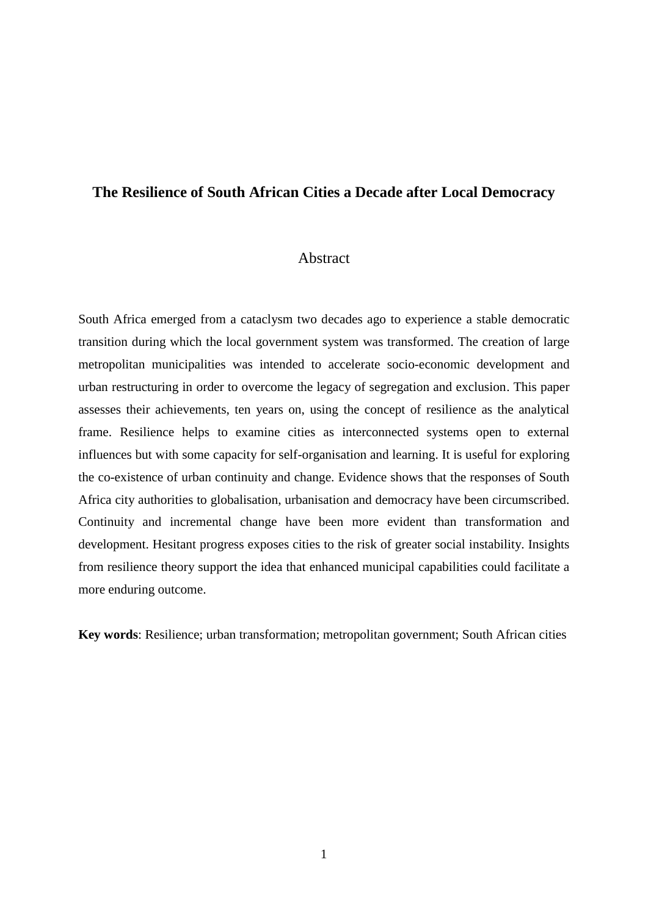## **The Resilience of South African Cities a Decade after Local Democracy**

# Abstract

South Africa emerged from a cataclysm two decades ago to experience a stable democratic transition during which the local government system was transformed. The creation of large metropolitan municipalities was intended to accelerate socio-economic development and urban restructuring in order to overcome the legacy of segregation and exclusion. This paper assesses their achievements, ten years on, using the concept of resilience as the analytical frame. Resilience helps to examine cities as interconnected systems open to external influences but with some capacity for self-organisation and learning. It is useful for exploring the co-existence of urban continuity and change. Evidence shows that the responses of South Africa city authorities to globalisation, urbanisation and democracy have been circumscribed. Continuity and incremental change have been more evident than transformation and development. Hesitant progress exposes cities to the risk of greater social instability. Insights from resilience theory support the idea that enhanced municipal capabilities could facilitate a more enduring outcome.

**Key words**: Resilience; urban transformation; metropolitan government; South African cities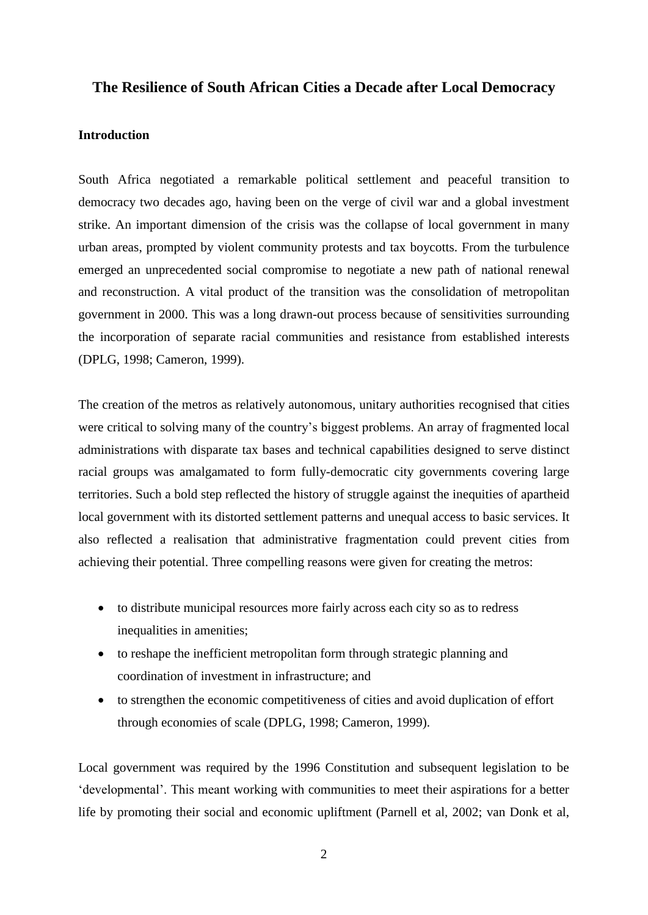## **The Resilience of South African Cities a Decade after Local Democracy**

### **Introduction**

South Africa negotiated a remarkable political settlement and peaceful transition to democracy two decades ago, having been on the verge of civil war and a global investment strike. An important dimension of the crisis was the collapse of local government in many urban areas, prompted by violent community protests and tax boycotts. From the turbulence emerged an unprecedented social compromise to negotiate a new path of national renewal and reconstruction. A vital product of the transition was the consolidation of metropolitan government in 2000. This was a long drawn-out process because of sensitivities surrounding the incorporation of separate racial communities and resistance from established interests (DPLG, 1998; Cameron, 1999).

The creation of the metros as relatively autonomous, unitary authorities recognised that cities were critical to solving many of the country's biggest problems. An array of fragmented local administrations with disparate tax bases and technical capabilities designed to serve distinct racial groups was amalgamated to form fully-democratic city governments covering large territories. Such a bold step reflected the history of struggle against the inequities of apartheid local government with its distorted settlement patterns and unequal access to basic services. It also reflected a realisation that administrative fragmentation could prevent cities from achieving their potential. Three compelling reasons were given for creating the metros:

- to distribute municipal resources more fairly across each city so as to redress inequalities in amenities;
- to reshape the inefficient metropolitan form through strategic planning and coordination of investment in infrastructure; and
- to strengthen the economic competitiveness of cities and avoid duplication of effort through economies of scale (DPLG, 1998; Cameron, 1999).

Local government was required by the 1996 Constitution and subsequent legislation to be 'developmental'. This meant working with communities to meet their aspirations for a better life by promoting their social and economic upliftment (Parnell et al, 2002; van Donk et al,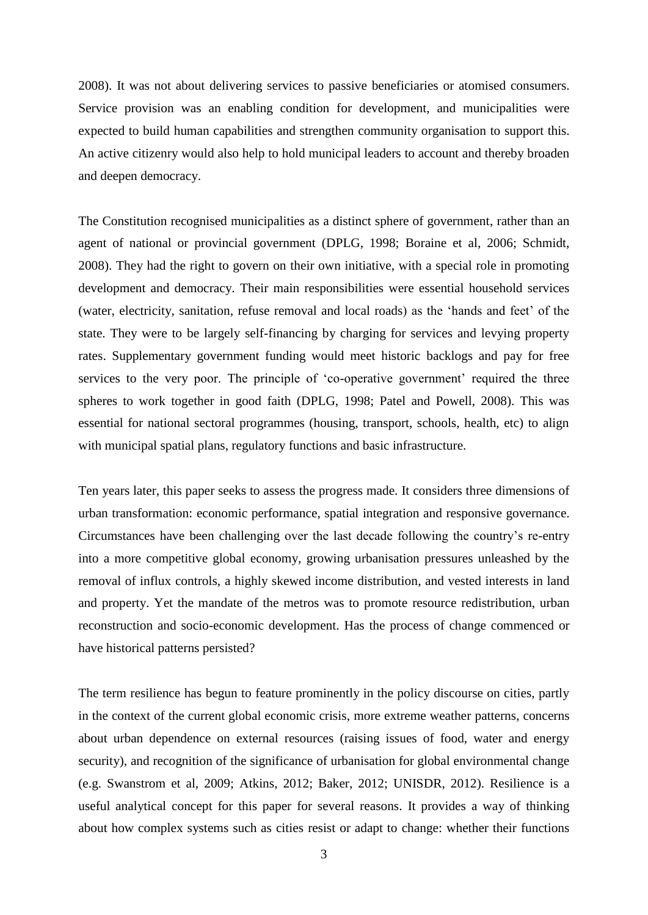2008). It was not about delivering services to passive beneficiaries or atomised consumers. Service provision was an enabling condition for development, and municipalities were expected to build human capabilities and strengthen community organisation to support this. An active citizenry would also help to hold municipal leaders to account and thereby broaden and deepen democracy.

The Constitution recognised municipalities as a distinct sphere of government, rather than an agent of national or provincial government (DPLG, 1998; Boraine et al, 2006; Schmidt, 2008). They had the right to govern on their own initiative, with a special role in promoting development and democracy. Their main responsibilities were essential household services (water, electricity, sanitation, refuse removal and local roads) as the 'hands and feet' of the state. They were to be largely self-financing by charging for services and levying property rates. Supplementary government funding would meet historic backlogs and pay for free services to the very poor. The principle of 'co-operative government' required the three spheres to work together in good faith (DPLG, 1998; Patel and Powell, 2008). This was essential for national sectoral programmes (housing, transport, schools, health, etc) to align with municipal spatial plans, regulatory functions and basic infrastructure.

Ten years later, this paper seeks to assess the progress made. It considers three dimensions of urban transformation: economic performance, spatial integration and responsive governance. Circumstances have been challenging over the last decade following the country's re-entry into a more competitive global economy, growing urbanisation pressures unleashed by the removal of influx controls, a highly skewed income distribution, and vested interests in land and property. Yet the mandate of the metros was to promote resource redistribution, urban reconstruction and socio-economic development. Has the process of change commenced or have historical patterns persisted?

The term resilience has begun to feature prominently in the policy discourse on cities, partly in the context of the current global economic crisis, more extreme weather patterns, concerns about urban dependence on external resources (raising issues of food, water and energy security), and recognition of the significance of urbanisation for global environmental change (e.g. Swanstrom et al, 2009; Atkins, 2012; Baker, 2012; UNISDR, 2012). Resilience is a useful analytical concept for this paper for several reasons. It provides a way of thinking about how complex systems such as cities resist or adapt to change: whether their functions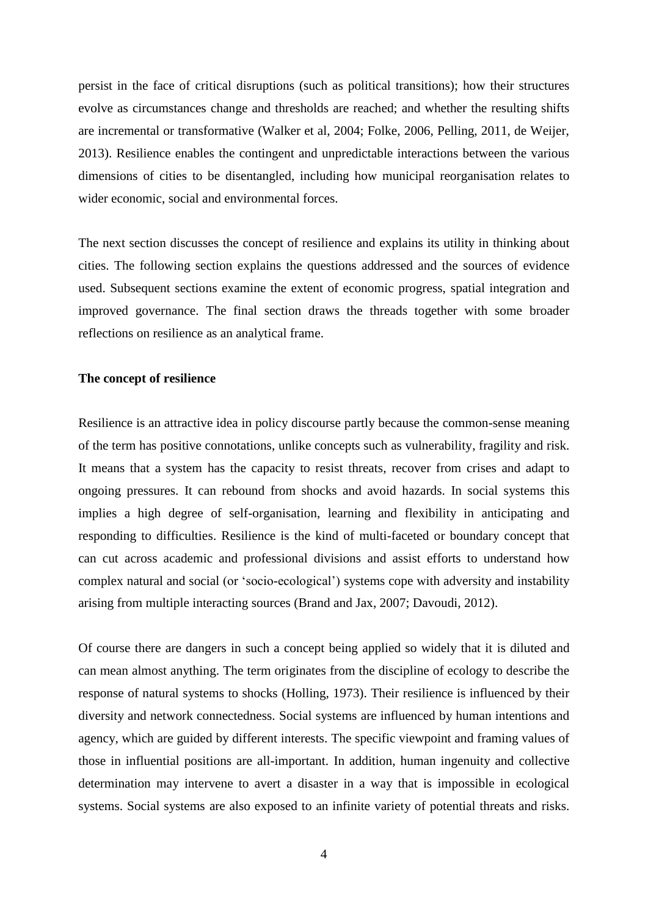persist in the face of critical disruptions (such as political transitions); how their structures evolve as circumstances change and thresholds are reached; and whether the resulting shifts are incremental or transformative (Walker et al, 2004; Folke, 2006, Pelling, 2011, de Weijer, 2013). Resilience enables the contingent and unpredictable interactions between the various dimensions of cities to be disentangled, including how municipal reorganisation relates to wider economic, social and environmental forces.

The next section discusses the concept of resilience and explains its utility in thinking about cities. The following section explains the questions addressed and the sources of evidence used. Subsequent sections examine the extent of economic progress, spatial integration and improved governance. The final section draws the threads together with some broader reflections on resilience as an analytical frame.

### **The concept of resilience**

Resilience is an attractive idea in policy discourse partly because the common-sense meaning of the term has positive connotations, unlike concepts such as vulnerability, fragility and risk. It means that a system has the capacity to resist threats, recover from crises and adapt to ongoing pressures. It can rebound from shocks and avoid hazards. In social systems this implies a high degree of self-organisation, learning and flexibility in anticipating and responding to difficulties. Resilience is the kind of multi-faceted or boundary concept that can cut across academic and professional divisions and assist efforts to understand how complex natural and social (or 'socio-ecological') systems cope with adversity and instability arising from multiple interacting sources (Brand and Jax, 2007; Davoudi, 2012).

Of course there are dangers in such a concept being applied so widely that it is diluted and can mean almost anything. The term originates from the discipline of ecology to describe the response of natural systems to shocks (Holling, 1973). Their resilience is influenced by their diversity and network connectedness. Social systems are influenced by human intentions and agency, which are guided by different interests. The specific viewpoint and framing values of those in influential positions are all-important. In addition, human ingenuity and collective determination may intervene to avert a disaster in a way that is impossible in ecological systems. Social systems are also exposed to an infinite variety of potential threats and risks.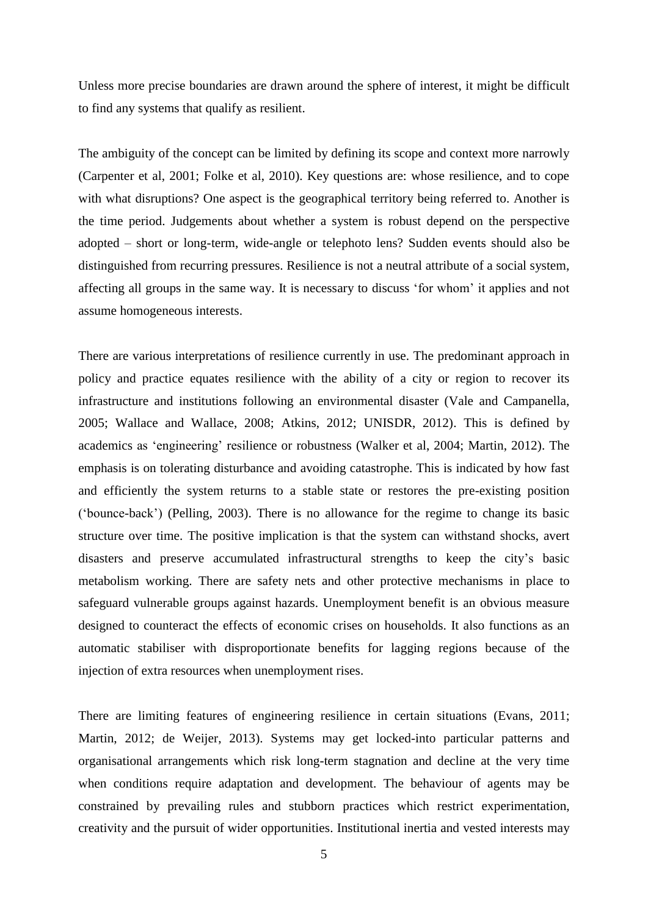Unless more precise boundaries are drawn around the sphere of interest, it might be difficult to find any systems that qualify as resilient.

The ambiguity of the concept can be limited by defining its scope and context more narrowly (Carpenter et al, 2001; Folke et al, 2010). Key questions are: whose resilience, and to cope with what disruptions? One aspect is the geographical territory being referred to. Another is the time period. Judgements about whether a system is robust depend on the perspective adopted – short or long-term, wide-angle or telephoto lens? Sudden events should also be distinguished from recurring pressures. Resilience is not a neutral attribute of a social system, affecting all groups in the same way. It is necessary to discuss 'for whom' it applies and not assume homogeneous interests.

There are various interpretations of resilience currently in use. The predominant approach in policy and practice equates resilience with the ability of a city or region to recover its infrastructure and institutions following an environmental disaster (Vale and Campanella, 2005; Wallace and Wallace, 2008; Atkins, 2012; UNISDR, 2012). This is defined by academics as 'engineering' resilience or robustness (Walker et al, 2004; Martin, 2012). The emphasis is on tolerating disturbance and avoiding catastrophe. This is indicated by how fast and efficiently the system returns to a stable state or restores the pre-existing position ('bounce-back') (Pelling, 2003). There is no allowance for the regime to change its basic structure over time. The positive implication is that the system can withstand shocks, avert disasters and preserve accumulated infrastructural strengths to keep the city's basic metabolism working. There are safety nets and other protective mechanisms in place to safeguard vulnerable groups against hazards. Unemployment benefit is an obvious measure designed to counteract the effects of economic crises on households. It also functions as an automatic stabiliser with disproportionate benefits for lagging regions because of the injection of extra resources when unemployment rises.

There are limiting features of engineering resilience in certain situations (Evans, 2011; Martin, 2012; de Weijer, 2013). Systems may get locked-into particular patterns and organisational arrangements which risk long-term stagnation and decline at the very time when conditions require adaptation and development. The behaviour of agents may be constrained by prevailing rules and stubborn practices which restrict experimentation, creativity and the pursuit of wider opportunities. Institutional inertia and vested interests may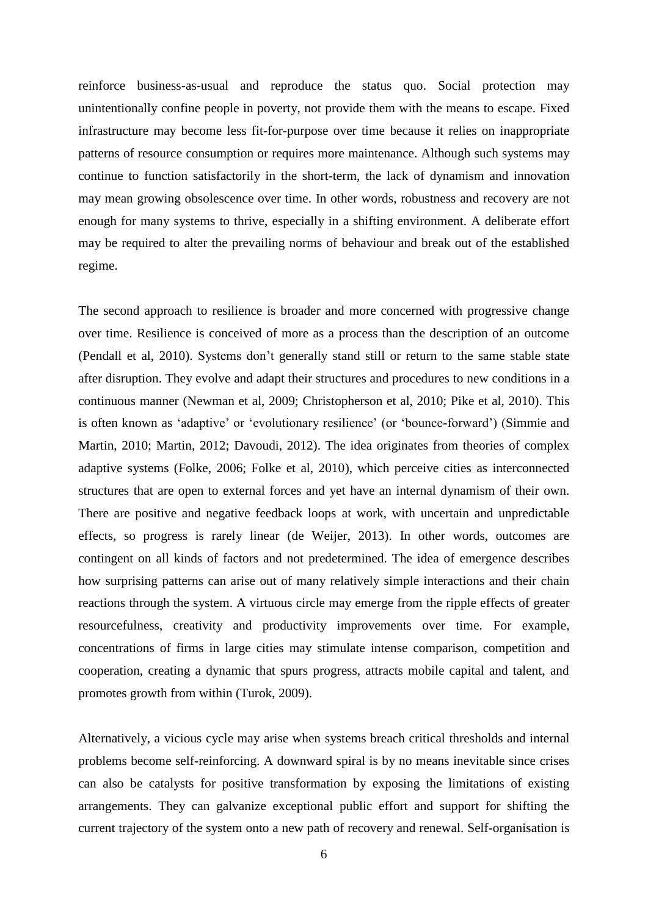reinforce business-as-usual and reproduce the status quo. Social protection may unintentionally confine people in poverty, not provide them with the means to escape. Fixed infrastructure may become less fit-for-purpose over time because it relies on inappropriate patterns of resource consumption or requires more maintenance. Although such systems may continue to function satisfactorily in the short-term, the lack of dynamism and innovation may mean growing obsolescence over time. In other words, robustness and recovery are not enough for many systems to thrive, especially in a shifting environment. A deliberate effort may be required to alter the prevailing norms of behaviour and break out of the established regime.

The second approach to resilience is broader and more concerned with progressive change over time. Resilience is conceived of more as a process than the description of an outcome (Pendall et al, 2010). Systems don't generally stand still or return to the same stable state after disruption. They evolve and adapt their structures and procedures to new conditions in a continuous manner (Newman et al, 2009; Christopherson et al, 2010; Pike et al, 2010). This is often known as 'adaptive' or 'evolutionary resilience' (or 'bounce-forward') (Simmie and Martin, 2010; Martin, 2012; Davoudi, 2012). The idea originates from theories of complex adaptive systems (Folke, 2006; Folke et al, 2010), which perceive cities as interconnected structures that are open to external forces and yet have an internal dynamism of their own. There are positive and negative feedback loops at work, with uncertain and unpredictable effects, so progress is rarely linear (de Weijer, 2013). In other words, outcomes are contingent on all kinds of factors and not predetermined. The idea of emergence describes how surprising patterns can arise out of many relatively simple interactions and their chain reactions through the system. A virtuous circle may emerge from the ripple effects of greater resourcefulness, creativity and productivity improvements over time. For example, concentrations of firms in large cities may stimulate intense comparison, competition and cooperation, creating a dynamic that spurs progress, attracts mobile capital and talent, and promotes growth from within (Turok, 2009).

Alternatively, a vicious cycle may arise when systems breach critical thresholds and internal problems become self-reinforcing. A downward spiral is by no means inevitable since crises can also be catalysts for positive transformation by exposing the limitations of existing arrangements. They can galvanize exceptional public effort and support for shifting the current trajectory of the system onto a new path of recovery and renewal. Self-organisation is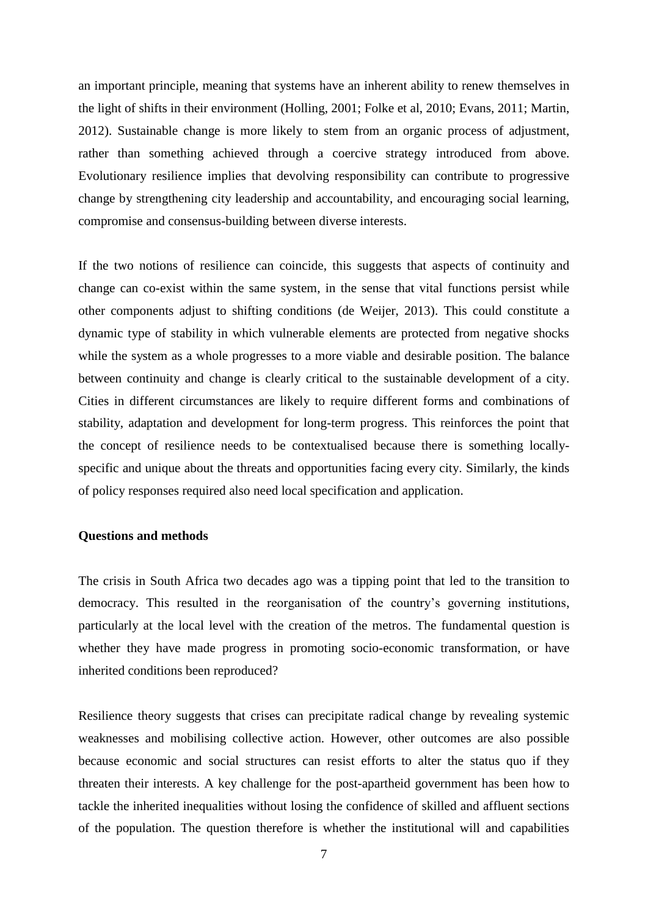an important principle, meaning that systems have an inherent ability to renew themselves in the light of shifts in their environment (Holling, 2001; Folke et al, 2010; Evans, 2011; Martin, 2012). Sustainable change is more likely to stem from an organic process of adjustment, rather than something achieved through a coercive strategy introduced from above. Evolutionary resilience implies that devolving responsibility can contribute to progressive change by strengthening city leadership and accountability, and encouraging social learning, compromise and consensus-building between diverse interests.

If the two notions of resilience can coincide, this suggests that aspects of continuity and change can co-exist within the same system, in the sense that vital functions persist while other components adjust to shifting conditions (de Weijer, 2013). This could constitute a dynamic type of stability in which vulnerable elements are protected from negative shocks while the system as a whole progresses to a more viable and desirable position. The balance between continuity and change is clearly critical to the sustainable development of a city. Cities in different circumstances are likely to require different forms and combinations of stability, adaptation and development for long-term progress. This reinforces the point that the concept of resilience needs to be contextualised because there is something locallyspecific and unique about the threats and opportunities facing every city. Similarly, the kinds of policy responses required also need local specification and application.

#### **Questions and methods**

The crisis in South Africa two decades ago was a tipping point that led to the transition to democracy. This resulted in the reorganisation of the country's governing institutions, particularly at the local level with the creation of the metros. The fundamental question is whether they have made progress in promoting socio-economic transformation, or have inherited conditions been reproduced?

Resilience theory suggests that crises can precipitate radical change by revealing systemic weaknesses and mobilising collective action. However, other outcomes are also possible because economic and social structures can resist efforts to alter the status quo if they threaten their interests. A key challenge for the post-apartheid government has been how to tackle the inherited inequalities without losing the confidence of skilled and affluent sections of the population. The question therefore is whether the institutional will and capabilities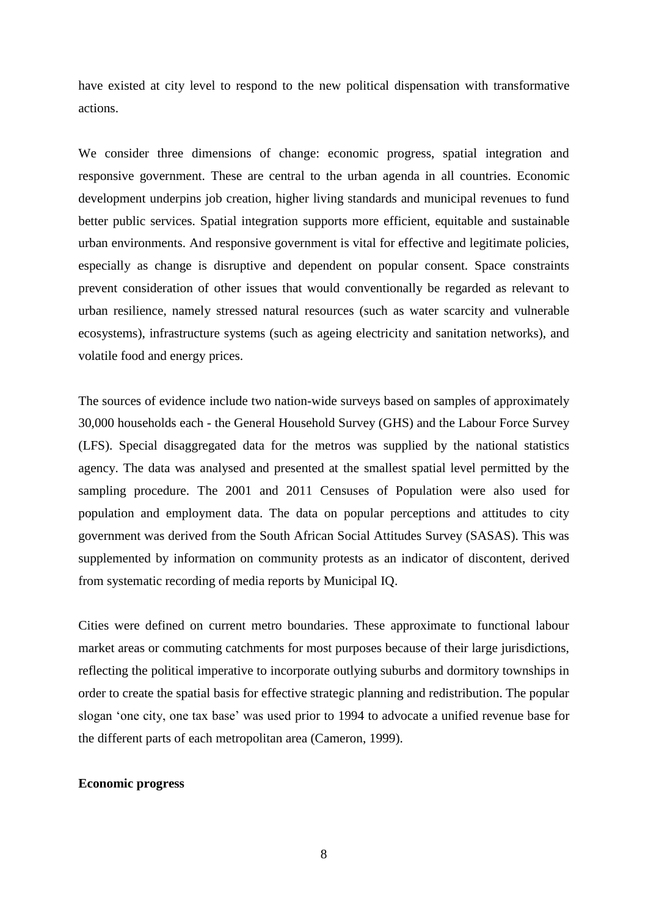have existed at city level to respond to the new political dispensation with transformative actions.

We consider three dimensions of change: economic progress, spatial integration and responsive government. These are central to the urban agenda in all countries. Economic development underpins job creation, higher living standards and municipal revenues to fund better public services. Spatial integration supports more efficient, equitable and sustainable urban environments. And responsive government is vital for effective and legitimate policies, especially as change is disruptive and dependent on popular consent. Space constraints prevent consideration of other issues that would conventionally be regarded as relevant to urban resilience, namely stressed natural resources (such as water scarcity and vulnerable ecosystems), infrastructure systems (such as ageing electricity and sanitation networks), and volatile food and energy prices.

The sources of evidence include two nation-wide surveys based on samples of approximately 30,000 households each - the General Household Survey (GHS) and the Labour Force Survey (LFS). Special disaggregated data for the metros was supplied by the national statistics agency. The data was analysed and presented at the smallest spatial level permitted by the sampling procedure. The 2001 and 2011 Censuses of Population were also used for population and employment data. The data on popular perceptions and attitudes to city government was derived from the South African Social Attitudes Survey (SASAS). This was supplemented by information on community protests as an indicator of discontent, derived from systematic recording of media reports by Municipal IQ.

Cities were defined on current metro boundaries. These approximate to functional labour market areas or commuting catchments for most purposes because of their large jurisdictions, reflecting the political imperative to incorporate outlying suburbs and dormitory townships in order to create the spatial basis for effective strategic planning and redistribution. The popular slogan 'one city, one tax base' was used prior to 1994 to advocate a unified revenue base for the different parts of each metropolitan area (Cameron, 1999).

## **Economic progress**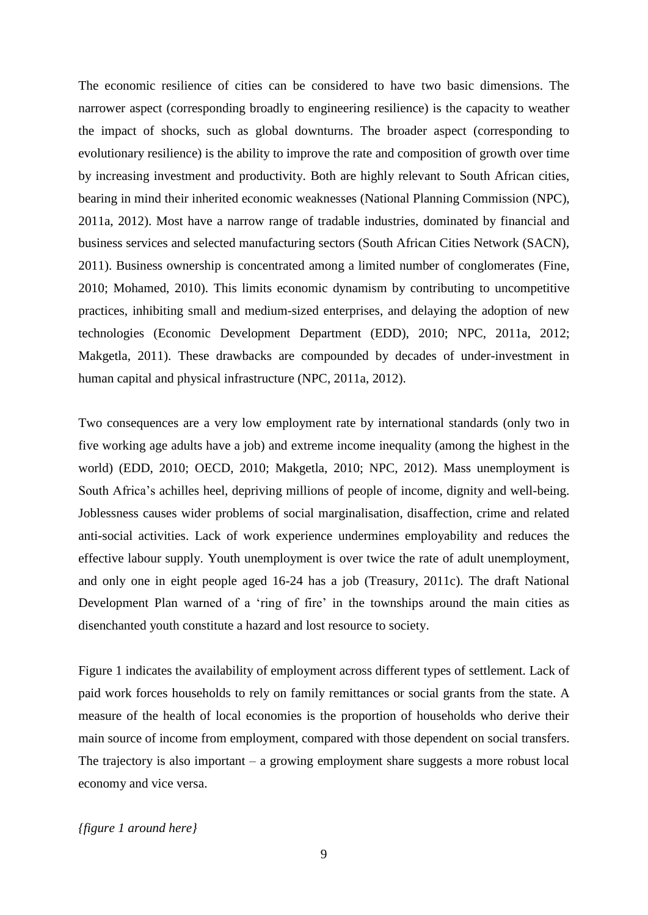The economic resilience of cities can be considered to have two basic dimensions. The narrower aspect (corresponding broadly to engineering resilience) is the capacity to weather the impact of shocks, such as global downturns. The broader aspect (corresponding to evolutionary resilience) is the ability to improve the rate and composition of growth over time by increasing investment and productivity. Both are highly relevant to South African cities, bearing in mind their inherited economic weaknesses (National Planning Commission (NPC), 2011a, 2012). Most have a narrow range of tradable industries, dominated by financial and business services and selected manufacturing sectors (South African Cities Network (SACN), 2011). Business ownership is concentrated among a limited number of conglomerates (Fine, 2010; Mohamed, 2010). This limits economic dynamism by contributing to uncompetitive practices, inhibiting small and medium-sized enterprises, and delaying the adoption of new technologies (Economic Development Department (EDD), 2010; NPC, 2011a, 2012; Makgetla, 2011). These drawbacks are compounded by decades of under-investment in human capital and physical infrastructure (NPC, 2011a, 2012).

Two consequences are a very low employment rate by international standards (only two in five working age adults have a job) and extreme income inequality (among the highest in the world) (EDD, 2010; OECD, 2010; Makgetla, 2010; NPC, 2012). Mass unemployment is South Africa's achilles heel, depriving millions of people of income, dignity and well-being. Joblessness causes wider problems of social marginalisation, disaffection, crime and related anti-social activities. Lack of work experience undermines employability and reduces the effective labour supply. Youth unemployment is over twice the rate of adult unemployment, and only one in eight people aged 16-24 has a job (Treasury, 2011c). The draft National Development Plan warned of a 'ring of fire' in the townships around the main cities as disenchanted youth constitute a hazard and lost resource to society.

Figure 1 indicates the availability of employment across different types of settlement. Lack of paid work forces households to rely on family remittances or social grants from the state. A measure of the health of local economies is the proportion of households who derive their main source of income from employment, compared with those dependent on social transfers. The trajectory is also important  $-$  a growing employment share suggests a more robust local economy and vice versa.

## *{figure 1 around here}*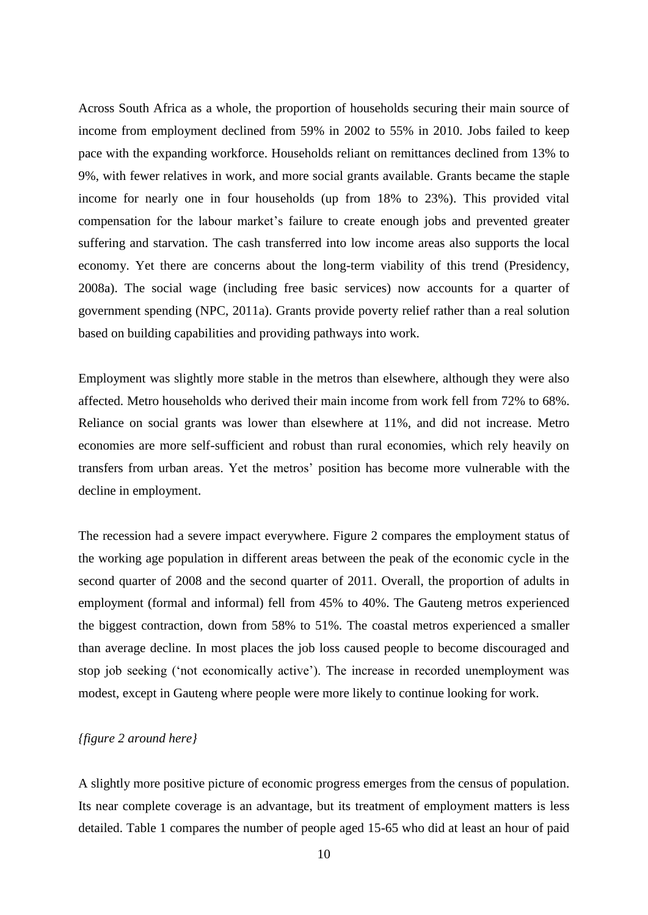Across South Africa as a whole, the proportion of households securing their main source of income from employment declined from 59% in 2002 to 55% in 2010. Jobs failed to keep pace with the expanding workforce. Households reliant on remittances declined from 13% to 9%, with fewer relatives in work, and more social grants available. Grants became the staple income for nearly one in four households (up from 18% to 23%). This provided vital compensation for the labour market's failure to create enough jobs and prevented greater suffering and starvation. The cash transferred into low income areas also supports the local economy. Yet there are concerns about the long-term viability of this trend (Presidency, 2008a). The social wage (including free basic services) now accounts for a quarter of government spending (NPC, 2011a). Grants provide poverty relief rather than a real solution based on building capabilities and providing pathways into work.

Employment was slightly more stable in the metros than elsewhere, although they were also affected. Metro households who derived their main income from work fell from 72% to 68%. Reliance on social grants was lower than elsewhere at 11%, and did not increase. Metro economies are more self-sufficient and robust than rural economies, which rely heavily on transfers from urban areas. Yet the metros' position has become more vulnerable with the decline in employment.

The recession had a severe impact everywhere. Figure 2 compares the employment status of the working age population in different areas between the peak of the economic cycle in the second quarter of 2008 and the second quarter of 2011. Overall, the proportion of adults in employment (formal and informal) fell from 45% to 40%. The Gauteng metros experienced the biggest contraction, down from 58% to 51%. The coastal metros experienced a smaller than average decline. In most places the job loss caused people to become discouraged and stop job seeking ('not economically active'). The increase in recorded unemployment was modest, except in Gauteng where people were more likely to continue looking for work.

## *{figure 2 around here}*

A slightly more positive picture of economic progress emerges from the census of population. Its near complete coverage is an advantage, but its treatment of employment matters is less detailed. Table 1 compares the number of people aged 15-65 who did at least an hour of paid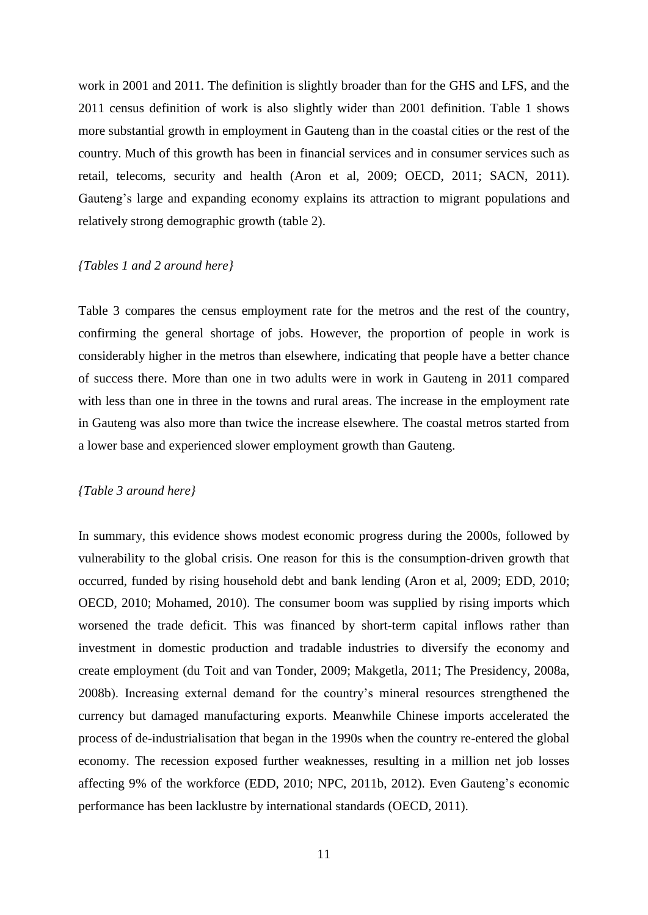work in 2001 and 2011. The definition is slightly broader than for the GHS and LFS, and the 2011 census definition of work is also slightly wider than 2001 definition. Table 1 shows more substantial growth in employment in Gauteng than in the coastal cities or the rest of the country. Much of this growth has been in financial services and in consumer services such as retail, telecoms, security and health (Aron et al, 2009; OECD, 2011; SACN, 2011). Gauteng's large and expanding economy explains its attraction to migrant populations and relatively strong demographic growth (table 2).

#### *{Tables 1 and 2 around here}*

Table 3 compares the census employment rate for the metros and the rest of the country, confirming the general shortage of jobs. However, the proportion of people in work is considerably higher in the metros than elsewhere, indicating that people have a better chance of success there. More than one in two adults were in work in Gauteng in 2011 compared with less than one in three in the towns and rural areas. The increase in the employment rate in Gauteng was also more than twice the increase elsewhere. The coastal metros started from a lower base and experienced slower employment growth than Gauteng.

#### *{Table 3 around here}*

In summary, this evidence shows modest economic progress during the 2000s, followed by vulnerability to the global crisis. One reason for this is the consumption-driven growth that occurred, funded by rising household debt and bank lending (Aron et al, 2009; EDD, 2010; OECD, 2010; Mohamed, 2010). The consumer boom was supplied by rising imports which worsened the trade deficit. This was financed by short-term capital inflows rather than investment in domestic production and tradable industries to diversify the economy and create employment (du Toit and van Tonder, 2009; Makgetla, 2011; The Presidency, 2008a, 2008b). Increasing external demand for the country's mineral resources strengthened the currency but damaged manufacturing exports. Meanwhile Chinese imports accelerated the process of de-industrialisation that began in the 1990s when the country re-entered the global economy. The recession exposed further weaknesses, resulting in a million net job losses affecting 9% of the workforce (EDD, 2010; NPC, 2011b, 2012). Even Gauteng's economic performance has been lacklustre by international standards (OECD, 2011).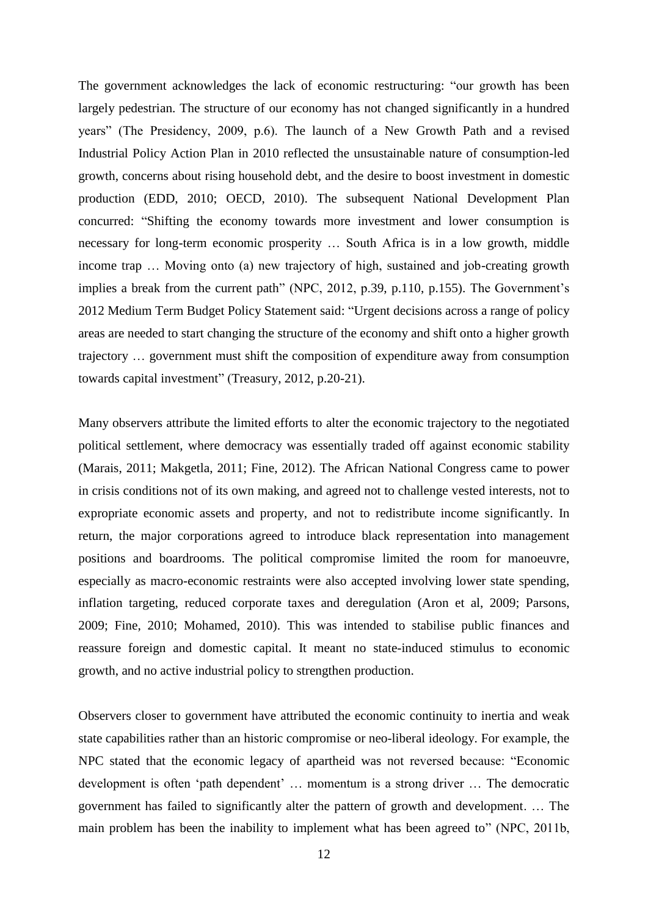The government acknowledges the lack of economic restructuring: "our growth has been largely pedestrian. The structure of our economy has not changed significantly in a hundred years" (The Presidency, 2009, p.6). The launch of a New Growth Path and a revised Industrial Policy Action Plan in 2010 reflected the unsustainable nature of consumption-led growth, concerns about rising household debt, and the desire to boost investment in domestic production (EDD, 2010; OECD, 2010). The subsequent National Development Plan concurred: "Shifting the economy towards more investment and lower consumption is necessary for long-term economic prosperity … South Africa is in a low growth, middle income trap … Moving onto (a) new trajectory of high, sustained and job-creating growth implies a break from the current path" (NPC, 2012, p.39, p.110, p.155). The Government's 2012 Medium Term Budget Policy Statement said: "Urgent decisions across a range of policy areas are needed to start changing the structure of the economy and shift onto a higher growth trajectory … government must shift the composition of expenditure away from consumption towards capital investment" (Treasury, 2012, p.20-21).

Many observers attribute the limited efforts to alter the economic trajectory to the negotiated political settlement, where democracy was essentially traded off against economic stability (Marais, 2011; Makgetla, 2011; Fine, 2012). The African National Congress came to power in crisis conditions not of its own making, and agreed not to challenge vested interests, not to expropriate economic assets and property, and not to redistribute income significantly. In return, the major corporations agreed to introduce black representation into management positions and boardrooms. The political compromise limited the room for manoeuvre, especially as macro-economic restraints were also accepted involving lower state spending, inflation targeting, reduced corporate taxes and deregulation (Aron et al, 2009; Parsons, 2009; Fine, 2010; Mohamed, 2010). This was intended to stabilise public finances and reassure foreign and domestic capital. It meant no state-induced stimulus to economic growth, and no active industrial policy to strengthen production.

Observers closer to government have attributed the economic continuity to inertia and weak state capabilities rather than an historic compromise or neo-liberal ideology. For example, the NPC stated that the economic legacy of apartheid was not reversed because: "Economic development is often 'path dependent' … momentum is a strong driver … The democratic government has failed to significantly alter the pattern of growth and development. … The main problem has been the inability to implement what has been agreed to" (NPC, 2011b,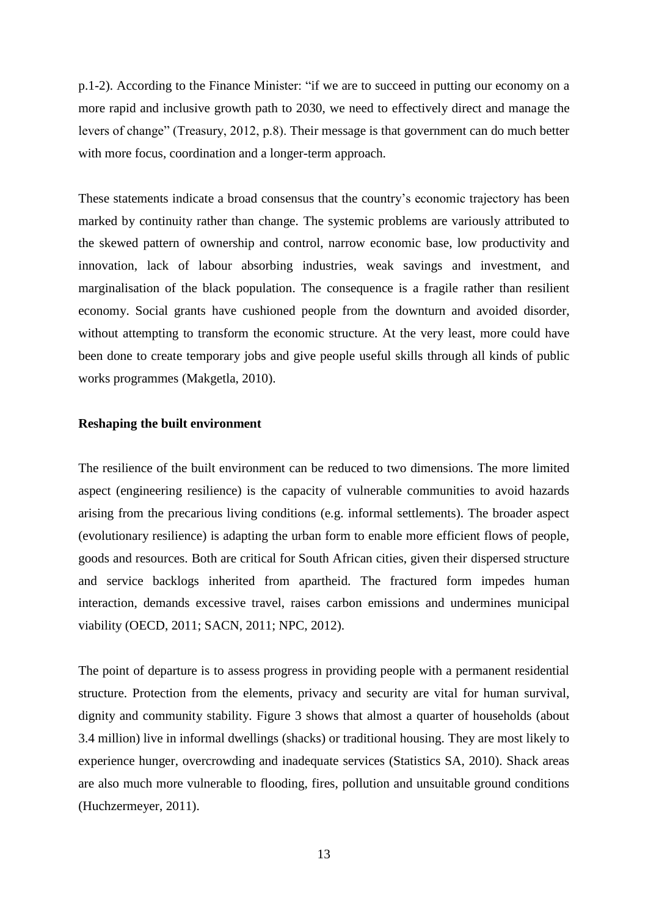p.1-2). According to the Finance Minister: "if we are to succeed in putting our economy on a more rapid and inclusive growth path to 2030, we need to effectively direct and manage the levers of change" (Treasury, 2012, p.8). Their message is that government can do much better with more focus, coordination and a longer-term approach.

These statements indicate a broad consensus that the country's economic trajectory has been marked by continuity rather than change. The systemic problems are variously attributed to the skewed pattern of ownership and control, narrow economic base, low productivity and innovation, lack of labour absorbing industries, weak savings and investment, and marginalisation of the black population. The consequence is a fragile rather than resilient economy. Social grants have cushioned people from the downturn and avoided disorder, without attempting to transform the economic structure. At the very least, more could have been done to create temporary jobs and give people useful skills through all kinds of public works programmes (Makgetla, 2010).

#### **Reshaping the built environment**

The resilience of the built environment can be reduced to two dimensions. The more limited aspect (engineering resilience) is the capacity of vulnerable communities to avoid hazards arising from the precarious living conditions (e.g. informal settlements). The broader aspect (evolutionary resilience) is adapting the urban form to enable more efficient flows of people, goods and resources. Both are critical for South African cities, given their dispersed structure and service backlogs inherited from apartheid. The fractured form impedes human interaction, demands excessive travel, raises carbon emissions and undermines municipal viability (OECD, 2011; SACN, 2011; NPC, 2012).

The point of departure is to assess progress in providing people with a permanent residential structure. Protection from the elements, privacy and security are vital for human survival, dignity and community stability. Figure 3 shows that almost a quarter of households (about 3.4 million) live in informal dwellings (shacks) or traditional housing. They are most likely to experience hunger, overcrowding and inadequate services (Statistics SA, 2010). Shack areas are also much more vulnerable to flooding, fires, pollution and unsuitable ground conditions (Huchzermeyer, 2011).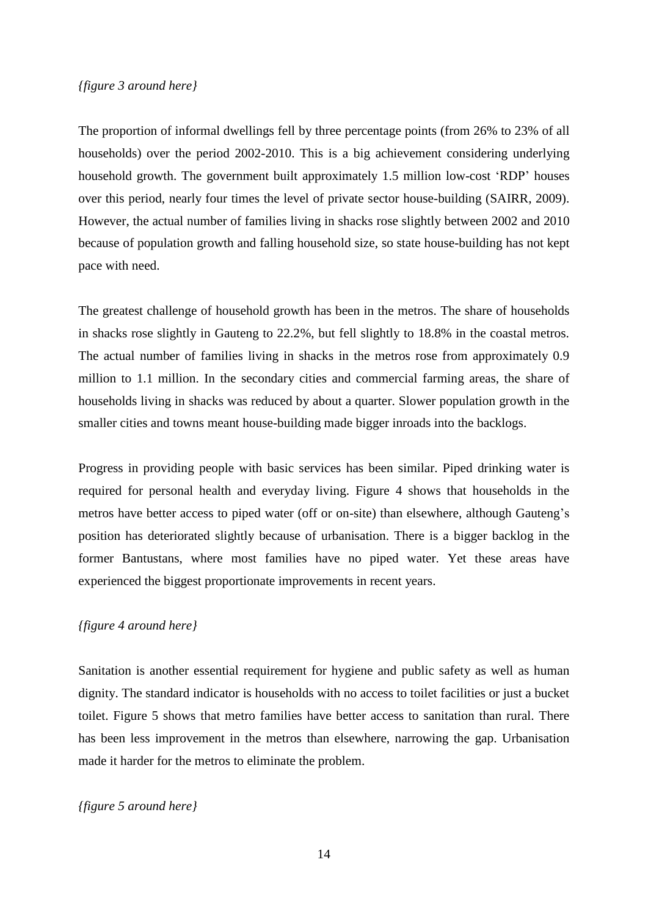## *{figure 3 around here}*

The proportion of informal dwellings fell by three percentage points (from 26% to 23% of all households) over the period 2002-2010. This is a big achievement considering underlying household growth. The government built approximately 1.5 million low-cost 'RDP' houses over this period, nearly four times the level of private sector house-building (SAIRR, 2009). However, the actual number of families living in shacks rose slightly between 2002 and 2010 because of population growth and falling household size, so state house-building has not kept pace with need.

The greatest challenge of household growth has been in the metros. The share of households in shacks rose slightly in Gauteng to 22.2%, but fell slightly to 18.8% in the coastal metros. The actual number of families living in shacks in the metros rose from approximately 0.9 million to 1.1 million. In the secondary cities and commercial farming areas, the share of households living in shacks was reduced by about a quarter. Slower population growth in the smaller cities and towns meant house-building made bigger inroads into the backlogs.

Progress in providing people with basic services has been similar. Piped drinking water is required for personal health and everyday living. Figure 4 shows that households in the metros have better access to piped water (off or on-site) than elsewhere, although Gauteng's position has deteriorated slightly because of urbanisation. There is a bigger backlog in the former Bantustans, where most families have no piped water. Yet these areas have experienced the biggest proportionate improvements in recent years.

## *{figure 4 around here}*

Sanitation is another essential requirement for hygiene and public safety as well as human dignity. The standard indicator is households with no access to toilet facilities or just a bucket toilet. Figure 5 shows that metro families have better access to sanitation than rural. There has been less improvement in the metros than elsewhere, narrowing the gap. Urbanisation made it harder for the metros to eliminate the problem.

## *{figure 5 around here}*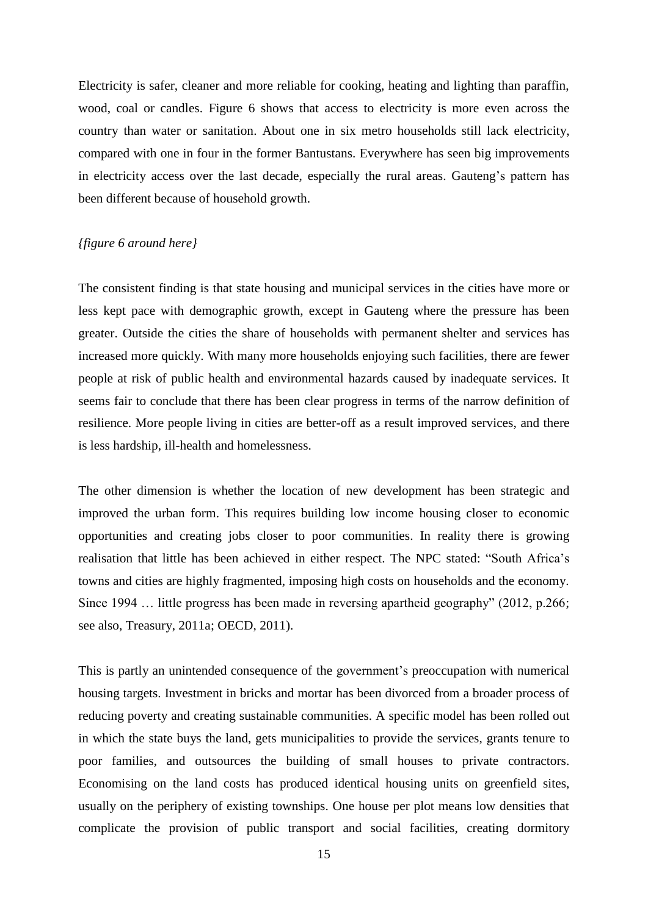Electricity is safer, cleaner and more reliable for cooking, heating and lighting than paraffin, wood, coal or candles. Figure 6 shows that access to electricity is more even across the country than water or sanitation. About one in six metro households still lack electricity, compared with one in four in the former Bantustans. Everywhere has seen big improvements in electricity access over the last decade, especially the rural areas. Gauteng's pattern has been different because of household growth.

### *{figure 6 around here}*

The consistent finding is that state housing and municipal services in the cities have more or less kept pace with demographic growth, except in Gauteng where the pressure has been greater. Outside the cities the share of households with permanent shelter and services has increased more quickly. With many more households enjoying such facilities, there are fewer people at risk of public health and environmental hazards caused by inadequate services. It seems fair to conclude that there has been clear progress in terms of the narrow definition of resilience. More people living in cities are better-off as a result improved services, and there is less hardship, ill-health and homelessness.

The other dimension is whether the location of new development has been strategic and improved the urban form. This requires building low income housing closer to economic opportunities and creating jobs closer to poor communities. In reality there is growing realisation that little has been achieved in either respect. The NPC stated: "South Africa's towns and cities are highly fragmented, imposing high costs on households and the economy. Since 1994 … little progress has been made in reversing apartheid geography" (2012, p.266; see also, Treasury, 2011a; OECD, 2011).

This is partly an unintended consequence of the government's preoccupation with numerical housing targets. Investment in bricks and mortar has been divorced from a broader process of reducing poverty and creating sustainable communities. A specific model has been rolled out in which the state buys the land, gets municipalities to provide the services, grants tenure to poor families, and outsources the building of small houses to private contractors. Economising on the land costs has produced identical housing units on greenfield sites, usually on the periphery of existing townships. One house per plot means low densities that complicate the provision of public transport and social facilities, creating dormitory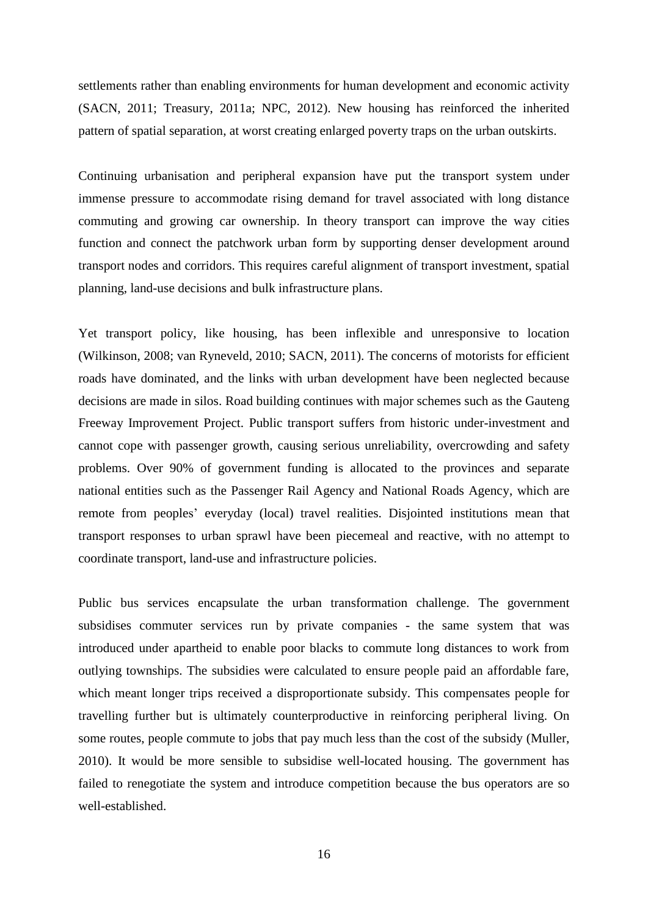settlements rather than enabling environments for human development and economic activity (SACN, 2011; Treasury, 2011a; NPC, 2012). New housing has reinforced the inherited pattern of spatial separation, at worst creating enlarged poverty traps on the urban outskirts.

Continuing urbanisation and peripheral expansion have put the transport system under immense pressure to accommodate rising demand for travel associated with long distance commuting and growing car ownership. In theory transport can improve the way cities function and connect the patchwork urban form by supporting denser development around transport nodes and corridors. This requires careful alignment of transport investment, spatial planning, land-use decisions and bulk infrastructure plans.

Yet transport policy, like housing, has been inflexible and unresponsive to location (Wilkinson, 2008; van Ryneveld, 2010; SACN, 2011). The concerns of motorists for efficient roads have dominated, and the links with urban development have been neglected because decisions are made in silos. Road building continues with major schemes such as the Gauteng Freeway Improvement Project. Public transport suffers from historic under-investment and cannot cope with passenger growth, causing serious unreliability, overcrowding and safety problems. Over 90% of government funding is allocated to the provinces and separate national entities such as the Passenger Rail Agency and National Roads Agency, which are remote from peoples' everyday (local) travel realities. Disjointed institutions mean that transport responses to urban sprawl have been piecemeal and reactive, with no attempt to coordinate transport, land-use and infrastructure policies.

Public bus services encapsulate the urban transformation challenge. The government subsidises commuter services run by private companies - the same system that was introduced under apartheid to enable poor blacks to commute long distances to work from outlying townships. The subsidies were calculated to ensure people paid an affordable fare, which meant longer trips received a disproportionate subsidy. This compensates people for travelling further but is ultimately counterproductive in reinforcing peripheral living. On some routes, people commute to jobs that pay much less than the cost of the subsidy (Muller, 2010). It would be more sensible to subsidise well-located housing. The government has failed to renegotiate the system and introduce competition because the bus operators are so well-established.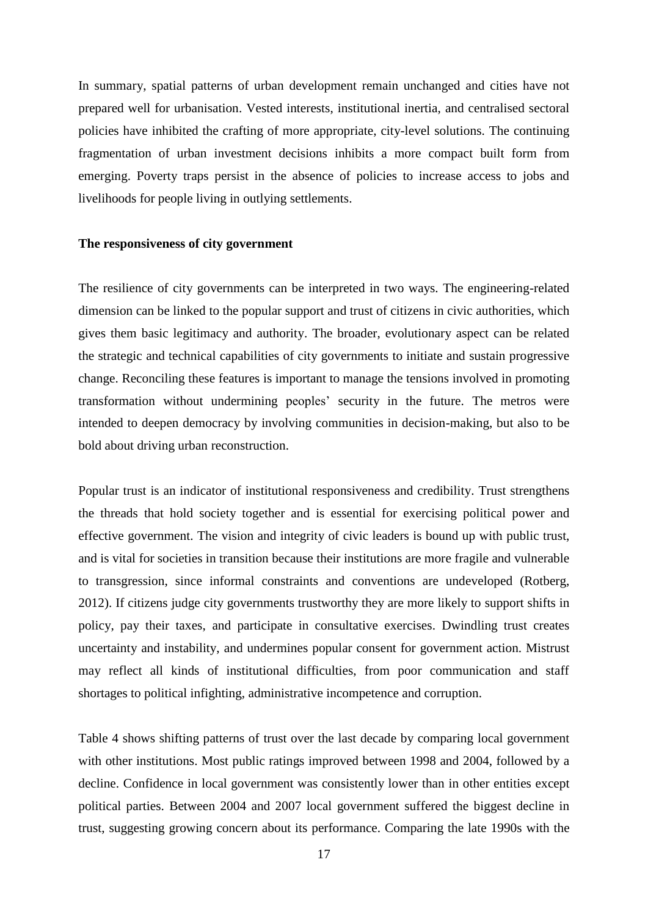In summary, spatial patterns of urban development remain unchanged and cities have not prepared well for urbanisation. Vested interests, institutional inertia, and centralised sectoral policies have inhibited the crafting of more appropriate, city-level solutions. The continuing fragmentation of urban investment decisions inhibits a more compact built form from emerging. Poverty traps persist in the absence of policies to increase access to jobs and livelihoods for people living in outlying settlements.

#### **The responsiveness of city government**

The resilience of city governments can be interpreted in two ways. The engineering-related dimension can be linked to the popular support and trust of citizens in civic authorities, which gives them basic legitimacy and authority. The broader, evolutionary aspect can be related the strategic and technical capabilities of city governments to initiate and sustain progressive change. Reconciling these features is important to manage the tensions involved in promoting transformation without undermining peoples' security in the future. The metros were intended to deepen democracy by involving communities in decision-making, but also to be bold about driving urban reconstruction.

Popular trust is an indicator of institutional responsiveness and credibility. Trust strengthens the threads that hold society together and is essential for exercising political power and effective government. The vision and integrity of civic leaders is bound up with public trust, and is vital for societies in transition because their institutions are more fragile and vulnerable to transgression, since informal constraints and conventions are undeveloped (Rotberg, 2012). If citizens judge city governments trustworthy they are more likely to support shifts in policy, pay their taxes, and participate in consultative exercises. Dwindling trust creates uncertainty and instability, and undermines popular consent for government action. Mistrust may reflect all kinds of institutional difficulties, from poor communication and staff shortages to political infighting, administrative incompetence and corruption.

Table 4 shows shifting patterns of trust over the last decade by comparing local government with other institutions. Most public ratings improved between 1998 and 2004, followed by a decline. Confidence in local government was consistently lower than in other entities except political parties. Between 2004 and 2007 local government suffered the biggest decline in trust, suggesting growing concern about its performance. Comparing the late 1990s with the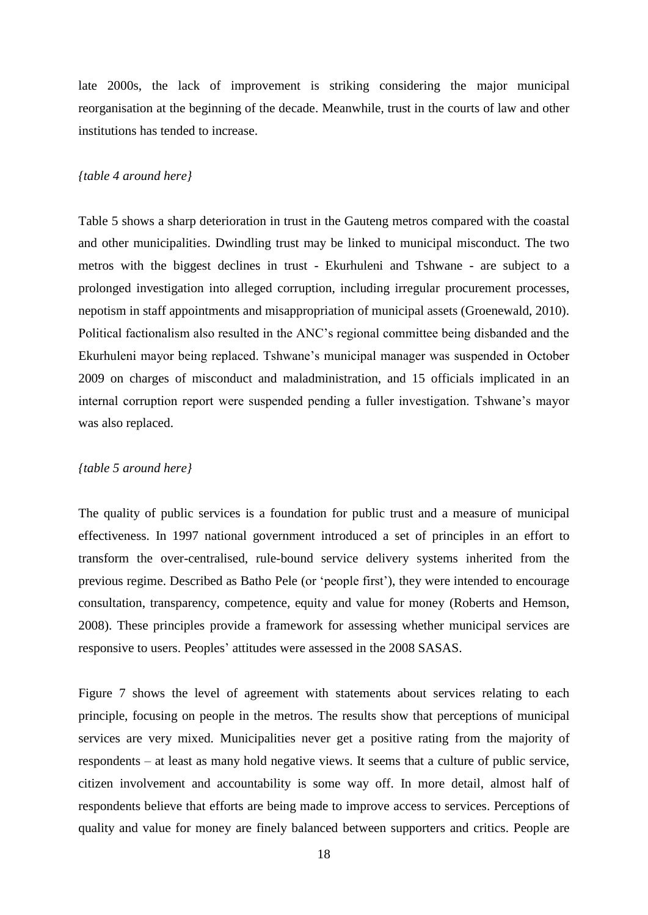late 2000s, the lack of improvement is striking considering the major municipal reorganisation at the beginning of the decade. Meanwhile, trust in the courts of law and other institutions has tended to increase.

### *{table 4 around here}*

Table 5 shows a sharp deterioration in trust in the Gauteng metros compared with the coastal and other municipalities. Dwindling trust may be linked to municipal misconduct. The two metros with the biggest declines in trust - Ekurhuleni and Tshwane - are subject to a prolonged investigation into alleged corruption, including irregular procurement processes, nepotism in staff appointments and misappropriation of municipal assets (Groenewald, 2010). Political factionalism also resulted in the ANC's regional committee being disbanded and the Ekurhuleni mayor being replaced. Tshwane's municipal manager was suspended in October 2009 on charges of misconduct and maladministration, and 15 officials implicated in an internal corruption report were suspended pending a fuller investigation. Tshwane's mayor was also replaced.

## *{table 5 around here}*

The quality of public services is a foundation for public trust and a measure of municipal effectiveness. In 1997 national government introduced a set of principles in an effort to transform the over-centralised, rule-bound service delivery systems inherited from the previous regime. Described as Batho Pele (or 'people first'), they were intended to encourage consultation, transparency, competence, equity and value for money (Roberts and Hemson, 2008). These principles provide a framework for assessing whether municipal services are responsive to users. Peoples' attitudes were assessed in the 2008 SASAS.

Figure 7 shows the level of agreement with statements about services relating to each principle, focusing on people in the metros. The results show that perceptions of municipal services are very mixed. Municipalities never get a positive rating from the majority of respondents – at least as many hold negative views. It seems that a culture of public service, citizen involvement and accountability is some way off. In more detail, almost half of respondents believe that efforts are being made to improve access to services. Perceptions of quality and value for money are finely balanced between supporters and critics. People are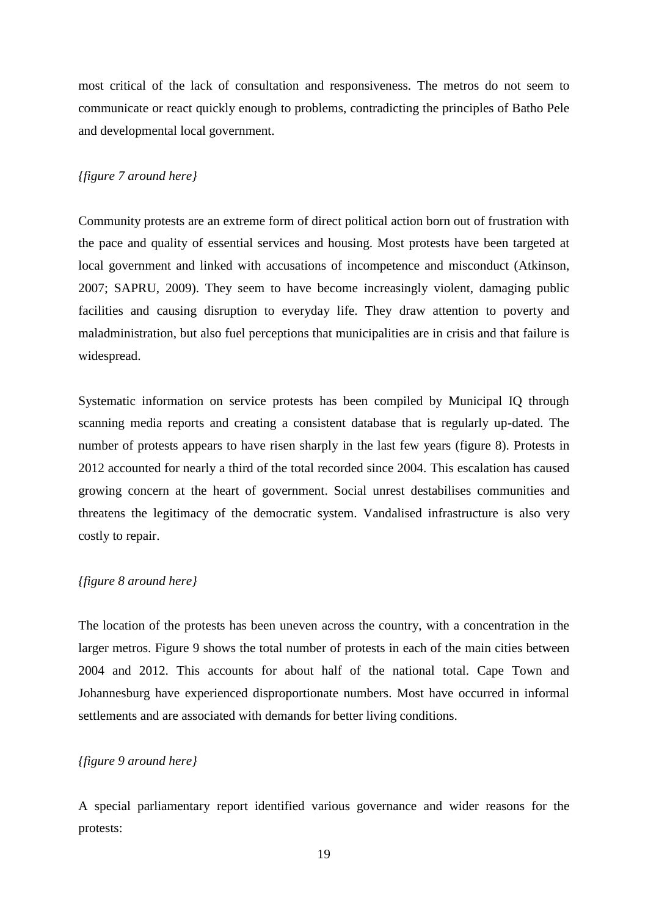most critical of the lack of consultation and responsiveness. The metros do not seem to communicate or react quickly enough to problems, contradicting the principles of Batho Pele and developmental local government.

## *{figure 7 around here}*

Community protests are an extreme form of direct political action born out of frustration with the pace and quality of essential services and housing. Most protests have been targeted at local government and linked with accusations of incompetence and misconduct (Atkinson, 2007; SAPRU, 2009). They seem to have become increasingly violent, damaging public facilities and causing disruption to everyday life. They draw attention to poverty and maladministration, but also fuel perceptions that municipalities are in crisis and that failure is widespread.

Systematic information on service protests has been compiled by Municipal IQ through scanning media reports and creating a consistent database that is regularly up-dated. The number of protests appears to have risen sharply in the last few years (figure 8). Protests in 2012 accounted for nearly a third of the total recorded since 2004. This escalation has caused growing concern at the heart of government. Social unrest destabilises communities and threatens the legitimacy of the democratic system. Vandalised infrastructure is also very costly to repair.

### *{figure 8 around here}*

The location of the protests has been uneven across the country, with a concentration in the larger metros. Figure 9 shows the total number of protests in each of the main cities between 2004 and 2012. This accounts for about half of the national total. Cape Town and Johannesburg have experienced disproportionate numbers. Most have occurred in informal settlements and are associated with demands for better living conditions.

## *{figure 9 around here}*

A special parliamentary report identified various governance and wider reasons for the protests: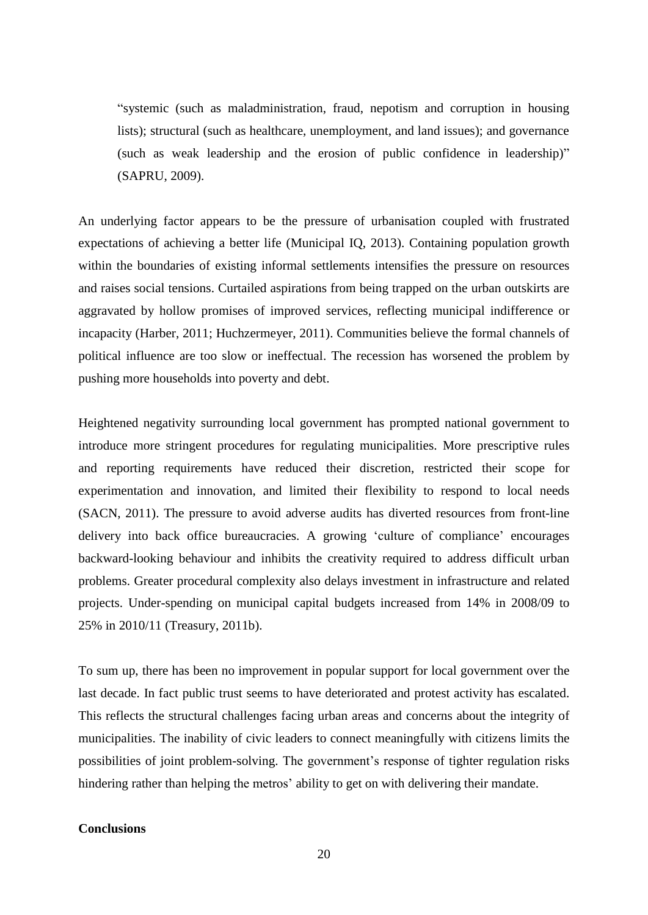"systemic (such as maladministration, fraud, nepotism and corruption in housing lists); structural (such as healthcare, unemployment, and land issues); and governance (such as weak leadership and the erosion of public confidence in leadership)" (SAPRU, 2009).

An underlying factor appears to be the pressure of urbanisation coupled with frustrated expectations of achieving a better life (Municipal IQ, 2013). Containing population growth within the boundaries of existing informal settlements intensifies the pressure on resources and raises social tensions. Curtailed aspirations from being trapped on the urban outskirts are aggravated by hollow promises of improved services, reflecting municipal indifference or incapacity (Harber, 2011; Huchzermeyer, 2011). Communities believe the formal channels of political influence are too slow or ineffectual. The recession has worsened the problem by pushing more households into poverty and debt.

Heightened negativity surrounding local government has prompted national government to introduce more stringent procedures for regulating municipalities. More prescriptive rules and reporting requirements have reduced their discretion, restricted their scope for experimentation and innovation, and limited their flexibility to respond to local needs (SACN, 2011). The pressure to avoid adverse audits has diverted resources from front-line delivery into back office bureaucracies. A growing 'culture of compliance' encourages backward-looking behaviour and inhibits the creativity required to address difficult urban problems. Greater procedural complexity also delays investment in infrastructure and related projects. Under-spending on municipal capital budgets increased from 14% in 2008/09 to 25% in 2010/11 (Treasury, 2011b).

To sum up, there has been no improvement in popular support for local government over the last decade. In fact public trust seems to have deteriorated and protest activity has escalated. This reflects the structural challenges facing urban areas and concerns about the integrity of municipalities. The inability of civic leaders to connect meaningfully with citizens limits the possibilities of joint problem-solving. The government's response of tighter regulation risks hindering rather than helping the metros' ability to get on with delivering their mandate.

## **Conclusions**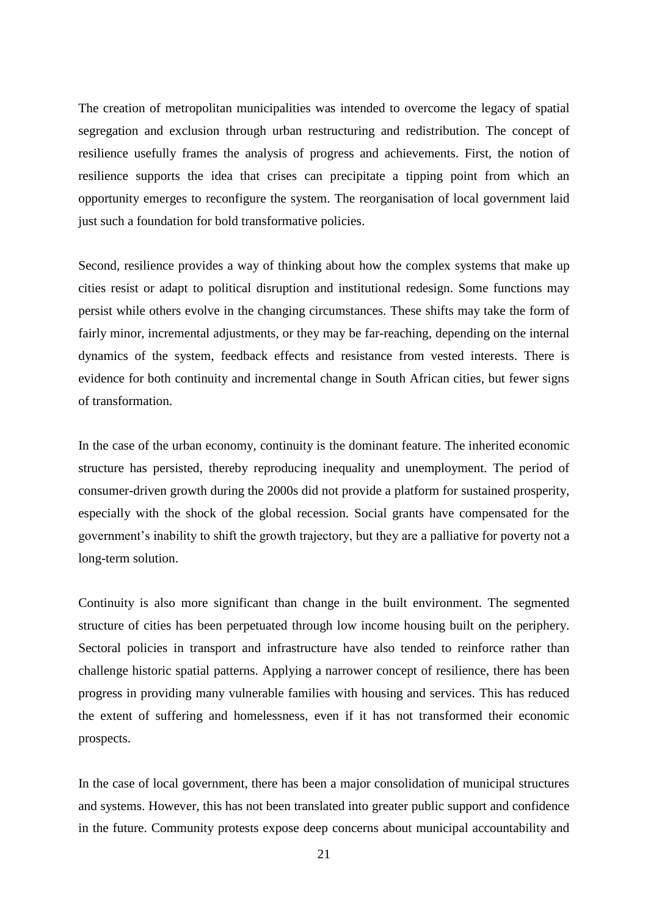The creation of metropolitan municipalities was intended to overcome the legacy of spatial segregation and exclusion through urban restructuring and redistribution. The concept of resilience usefully frames the analysis of progress and achievements. First, the notion of resilience supports the idea that crises can precipitate a tipping point from which an opportunity emerges to reconfigure the system. The reorganisation of local government laid just such a foundation for bold transformative policies.

Second, resilience provides a way of thinking about how the complex systems that make up cities resist or adapt to political disruption and institutional redesign. Some functions may persist while others evolve in the changing circumstances. These shifts may take the form of fairly minor, incremental adjustments, or they may be far-reaching, depending on the internal dynamics of the system, feedback effects and resistance from vested interests. There is evidence for both continuity and incremental change in South African cities, but fewer signs of transformation.

In the case of the urban economy, continuity is the dominant feature. The inherited economic structure has persisted, thereby reproducing inequality and unemployment. The period of consumer-driven growth during the 2000s did not provide a platform for sustained prosperity, especially with the shock of the global recession. Social grants have compensated for the government's inability to shift the growth trajectory, but they are a palliative for poverty not a long-term solution.

Continuity is also more significant than change in the built environment. The segmented structure of cities has been perpetuated through low income housing built on the periphery. Sectoral policies in transport and infrastructure have also tended to reinforce rather than challenge historic spatial patterns. Applying a narrower concept of resilience, there has been progress in providing many vulnerable families with housing and services. This has reduced the extent of suffering and homelessness, even if it has not transformed their economic prospects.

In the case of local government, there has been a major consolidation of municipal structures and systems. However, this has not been translated into greater public support and confidence in the future. Community protests expose deep concerns about municipal accountability and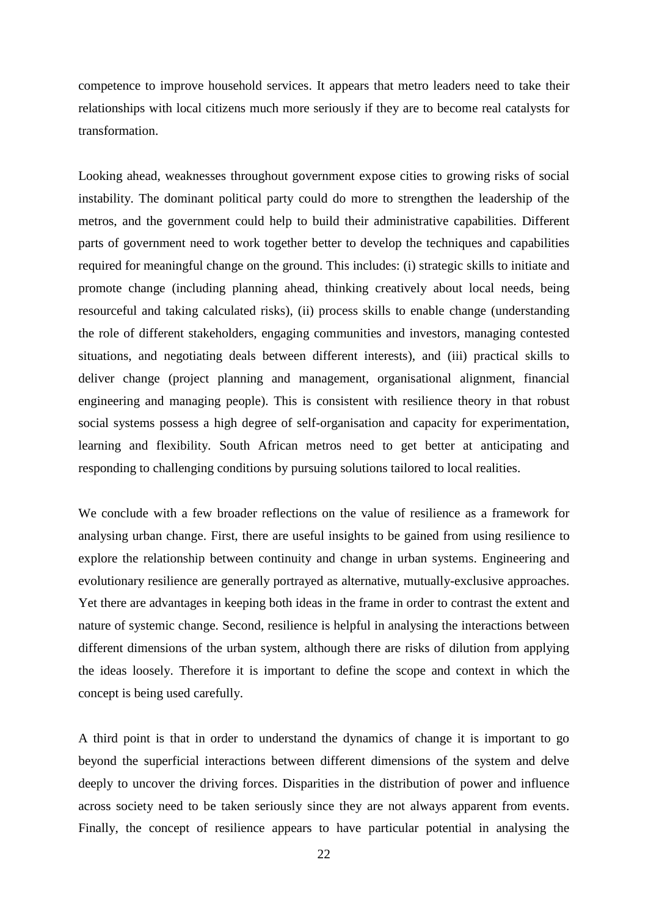competence to improve household services. It appears that metro leaders need to take their relationships with local citizens much more seriously if they are to become real catalysts for transformation.

Looking ahead, weaknesses throughout government expose cities to growing risks of social instability. The dominant political party could do more to strengthen the leadership of the metros, and the government could help to build their administrative capabilities. Different parts of government need to work together better to develop the techniques and capabilities required for meaningful change on the ground. This includes: (i) strategic skills to initiate and promote change (including planning ahead, thinking creatively about local needs, being resourceful and taking calculated risks), (ii) process skills to enable change (understanding the role of different stakeholders, engaging communities and investors, managing contested situations, and negotiating deals between different interests), and (iii) practical skills to deliver change (project planning and management, organisational alignment, financial engineering and managing people). This is consistent with resilience theory in that robust social systems possess a high degree of self-organisation and capacity for experimentation, learning and flexibility. South African metros need to get better at anticipating and responding to challenging conditions by pursuing solutions tailored to local realities.

We conclude with a few broader reflections on the value of resilience as a framework for analysing urban change. First, there are useful insights to be gained from using resilience to explore the relationship between continuity and change in urban systems. Engineering and evolutionary resilience are generally portrayed as alternative, mutually-exclusive approaches. Yet there are advantages in keeping both ideas in the frame in order to contrast the extent and nature of systemic change. Second, resilience is helpful in analysing the interactions between different dimensions of the urban system, although there are risks of dilution from applying the ideas loosely. Therefore it is important to define the scope and context in which the concept is being used carefully.

A third point is that in order to understand the dynamics of change it is important to go beyond the superficial interactions between different dimensions of the system and delve deeply to uncover the driving forces. Disparities in the distribution of power and influence across society need to be taken seriously since they are not always apparent from events. Finally, the concept of resilience appears to have particular potential in analysing the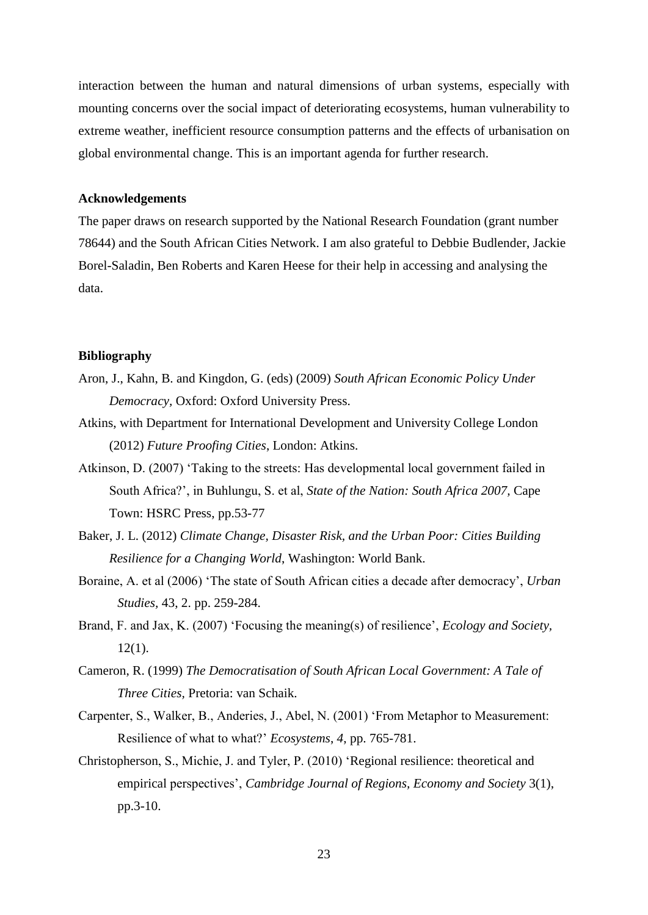interaction between the human and natural dimensions of urban systems, especially with mounting concerns over the social impact of deteriorating ecosystems, human vulnerability to extreme weather, inefficient resource consumption patterns and the effects of urbanisation on global environmental change. This is an important agenda for further research.

### **Acknowledgements**

The paper draws on research supported by the National Research Foundation (grant number 78644) and the South African Cities Network. I am also grateful to Debbie Budlender, Jackie Borel-Saladin, Ben Roberts and Karen Heese for their help in accessing and analysing the data.

### **Bibliography**

- Aron, J., Kahn, B. and Kingdon, G. (eds) (2009) *South African Economic Policy Under Democracy,* Oxford: Oxford University Press.
- Atkins, with Department for International Development and University College London (2012) *Future Proofing Cities*, London: Atkins.
- Atkinson, D. (2007) 'Taking to the streets: Has developmental local government failed in South Africa?', in Buhlungu, S. et al, *State of the Nation: South Africa 2007,* Cape Town: HSRC Press, pp.53-77
- Baker, J. L. (2012) *Climate Change, Disaster Risk, and the Urban Poor: Cities Building Resilience for a Changing World*, Washington: World Bank.
- Boraine, A. et al (2006) 'The state of South African cities a decade after democracy', *Urban Studies,* 43, 2. pp. 259-284.
- Brand, F. and Jax, K. (2007) 'Focusing the meaning(s) of resilience', *Ecology and Society,*  12(1).
- Cameron, R. (1999) *The Democratisation of South African Local Government: A Tale of Three Cities,* Pretoria: van Schaik.
- Carpenter, S., Walker, B., Anderies, J., Abel, N. (2001) 'From Metaphor to Measurement: Resilience of what to what?' *Ecosystems*, *4*, pp. 765-781.
- Christopherson, S., Michie, J. and Tyler, P. (2010) 'Regional resilience: theoretical and empirical perspectives', *Cambridge Journal of Regions, Economy and Society* 3(1), pp.3-10.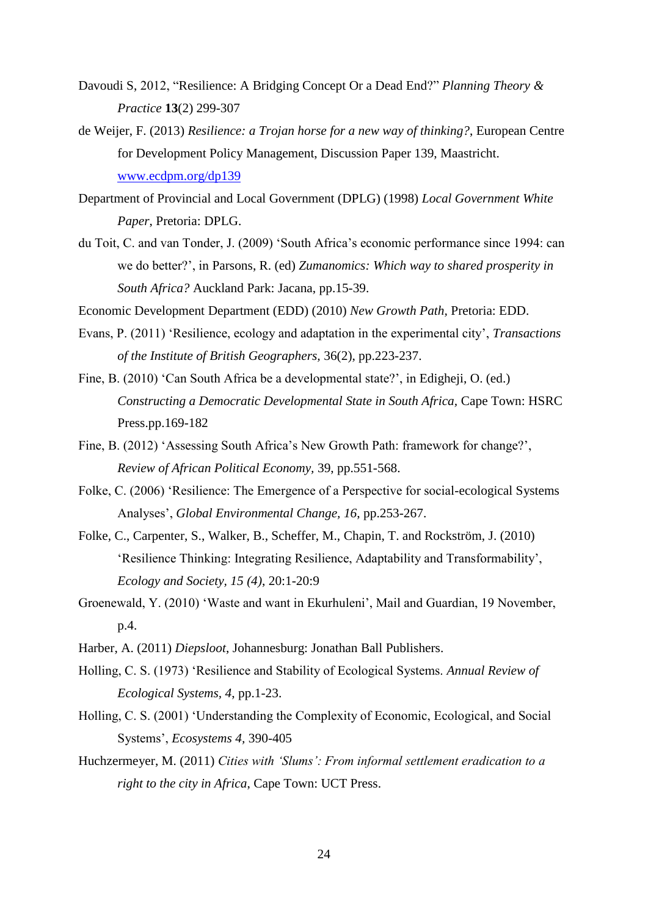- Davoudi S, 2012, "Resilience: A Bridging Concept Or a Dead End?" *Planning Theory & Practice* **13**(2) 299-307
- de Weijer, F. (2013) *Resilience: a Trojan horse for a new way of thinking?*, European Centre for Development Policy Management, Discussion Paper 139, Maastricht. [www.ecdpm.org/dp139](http://www.ecdpm.org/dp139)
- Department of Provincial and Local Government (DPLG) (1998) *Local Government White Paper*, Pretoria: DPLG.
- du Toit, C. and van Tonder, J. (2009) 'South Africa's economic performance since 1994: can we do better?', in Parsons, R. (ed) *Zumanomics: Which way to shared prosperity in South Africa?* Auckland Park: Jacana, pp.15-39.

Economic Development Department (EDD) (2010) *New Growth Path,* Pretoria: EDD.

- Evans, P. (2011) 'Resilience, ecology and adaptation in the experimental city', *Transactions of the Institute of British Geographers,* 36(2), pp.223-237.
- Fine, B. (2010) 'Can South Africa be a developmental state?', in Edigheji, O. (ed.) *Constructing a Democratic Developmental State in South Africa,* Cape Town: HSRC Press.pp.169-182
- Fine, B. (2012) 'Assessing South Africa's New Growth Path: framework for change?', *Review of African Political Economy,* 39, pp.551-568.
- Folke, C. (2006) 'Resilience: The Emergence of a Perspective for social-ecological Systems Analyses', *Global Environmental Change, 16*, pp.253-267.
- Folke, C., Carpenter, S., Walker, B., Scheffer, M., Chapin, T. and Rockström, J. (2010) 'Resilience Thinking: Integrating Resilience, Adaptability and Transformability', *Ecology and Society, 15 (4)*, 20:1-20:9
- Groenewald, Y. (2010) 'Waste and want in Ekurhuleni', Mail and Guardian, 19 November, p.4.
- Harber, A. (2011) *Diepsloot*, Johannesburg: Jonathan Ball Publishers.
- Holling, C. S. (1973) 'Resilience and Stability of Ecological Systems. *Annual Review of Ecological Systems, 4*, pp.1-23.
- Holling, C. S. (2001) 'Understanding the Complexity of Economic, Ecological, and Social Systems', *Ecosystems 4,* 390-405
- Huchzermeyer, M. (2011) *Cities with 'Slums': From informal settlement eradication to a right to the city in Africa*, Cape Town: UCT Press.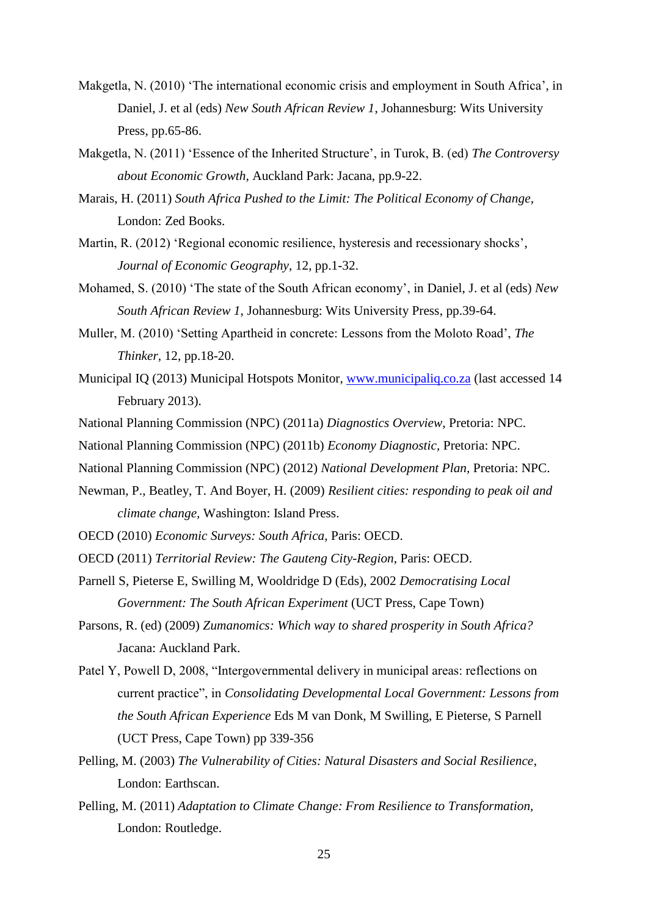- Makgetla, N. (2010) 'The international economic crisis and employment in South Africa', in Daniel, J. et al (eds) *New South African Review 1*, Johannesburg: Wits University Press, pp.65-86.
- Makgetla, N. (2011) 'Essence of the Inherited Structure', in Turok, B. (ed) *The Controversy about Economic Growth,* Auckland Park: Jacana, pp.9-22.
- Marais, H. (2011) *South Africa Pushed to the Limit: The Political Economy of Change*, London: Zed Books.
- Martin, R. (2012) 'Regional economic resilience, hysteresis and recessionary shocks', *Journal of Economic Geography,* 12, pp.1-32.
- Mohamed, S. (2010) 'The state of the South African economy', in Daniel, J. et al (eds) *New South African Review 1*, Johannesburg: Wits University Press, pp.39-64.
- Muller, M. (2010) 'Setting Apartheid in concrete: Lessons from the Moloto Road', *The Thinker,* 12, pp.18-20.
- Municipal IQ (2013) Municipal Hotspots Monitor, [www.municipaliq.co.za](http://www.municipaliq.co.za/) (last accessed 14 February 2013).
- National Planning Commission (NPC) (2011a) *Diagnostics Overview,* Pretoria: NPC.
- National Planning Commission (NPC) (2011b) *Economy Diagnostic,* Pretoria: NPC.
- National Planning Commission (NPC) (2012) *National Development Plan,* Pretoria: NPC.
- Newman, P., Beatley, T. And Boyer, H. (2009) *Resilient cities: responding to peak oil and climate change,* Washington: Island Press.
- OECD (2010) *Economic Surveys: South Africa*, Paris: OECD.
- OECD (2011) *Territorial Review: The Gauteng City-Region*, Paris: OECD.
- Parnell S, Pieterse E, Swilling M, Wooldridge D (Eds), 2002 *Democratising Local Government: The South African Experiment* (UCT Press, Cape Town)
- Parsons, R. (ed) (2009) *Zumanomics: Which way to shared prosperity in South Africa?* Jacana: Auckland Park.
- Patel Y, Powell D, 2008, "Intergovernmental delivery in municipal areas: reflections on current practice", in *Consolidating Developmental Local Government: Lessons from the South African Experience* Eds M van Donk, M Swilling, E Pieterse, S Parnell (UCT Press, Cape Town) pp 339-356
- Pelling, M. (2003) *The Vulnerability of Cities: Natural Disasters and Social Resilience*, London: Earthscan.
- Pelling, M. (2011) *Adaptation to Climate Change: From Resilience to Transformation,* London: Routledge.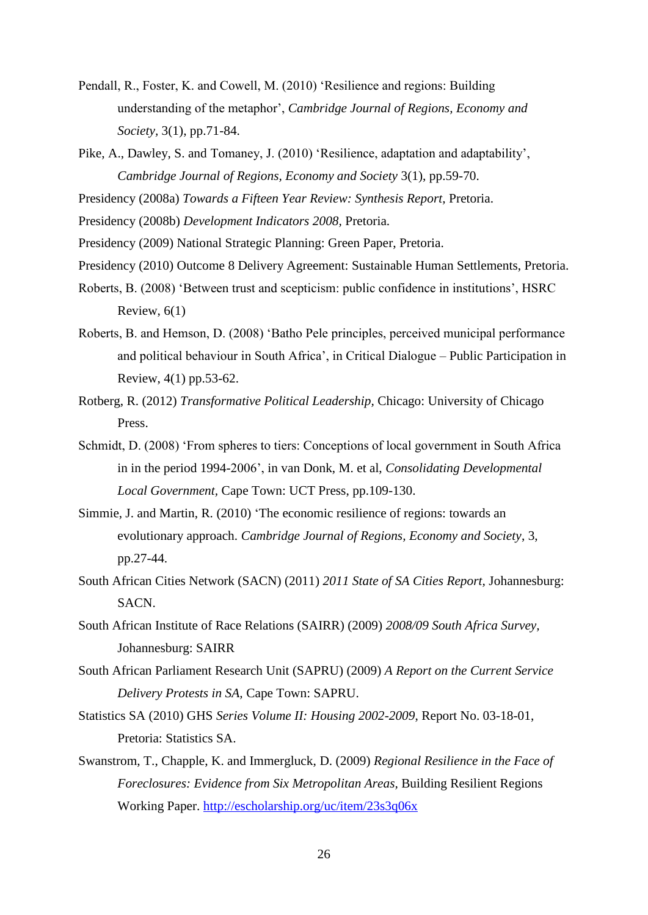- Pendall, R., Foster, K. and Cowell, M. (2010) 'Resilience and regions: Building understanding of the metaphor', *Cambridge Journal of Regions, Economy and Society,* 3(1), pp.71-84.
- Pike, A., Dawley, S. and Tomaney, J. (2010) 'Resilience, adaptation and adaptability', *Cambridge Journal of Regions, Economy and Society* 3(1), pp.59-70.

Presidency (2008a) *Towards a Fifteen Year Review: Synthesis Report,* Pretoria.

Presidency (2008b) *Development Indicators 2008,* Pretoria.

Presidency (2009) National Strategic Planning: Green Paper, Pretoria.

- Presidency (2010) Outcome 8 Delivery Agreement: Sustainable Human Settlements, Pretoria.
- Roberts, B. (2008) 'Between trust and scepticism: public confidence in institutions', HSRC Review, 6(1)
- Roberts, B. and Hemson, D. (2008) 'Batho Pele principles, perceived municipal performance and political behaviour in South Africa', in Critical Dialogue – Public Participation in Review, 4(1) pp.53-62.
- Rotberg, R. (2012) *Transformative Political Leadership,* Chicago: University of Chicago Press.
- Schmidt, D. (2008) 'From spheres to tiers: Conceptions of local government in South Africa in in the period 1994-2006', in van Donk, M. et al, *Consolidating Developmental Local Government,* Cape Town: UCT Press, pp.109-130.
- Simmie, J. and Martin, R. (2010) 'The economic resilience of regions: towards an evolutionary approach. *Cambridge Journal of Regions, Economy and Society*, 3, pp.27-44.
- South African Cities Network (SACN) (2011) *2011 State of SA Cities Report,* Johannesburg: SACN.
- South African Institute of Race Relations (SAIRR) (2009) *2008/09 South Africa Survey,* Johannesburg: SAIRR
- South African Parliament Research Unit (SAPRU) (2009) *A Report on the Current Service Delivery Protests in SA,* Cape Town: SAPRU.
- Statistics SA (2010) GHS *Series Volume II: Housing 2002-2009*, Report No. 03-18-01, Pretoria: Statistics SA.
- Swanstrom, T., Chapple, K. and Immergluck, D. (2009) *Regional Resilience in the Face of Foreclosures: Evidence from Six Metropolitan Areas,* Building Resilient Regions Working Paper. <http://escholarship.org/uc/item/23s3q06x>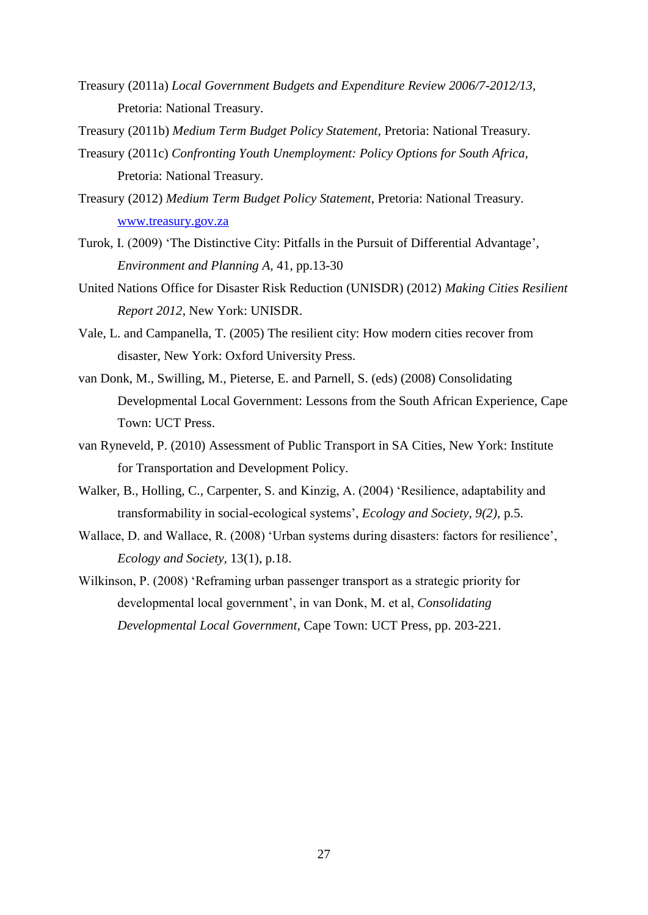- Treasury (2011a) *Local Government Budgets and Expenditure Review 2006/7-2012/13*, Pretoria: National Treasury.
- Treasury (2011b) *Medium Term Budget Policy Statement,* Pretoria: National Treasury.
- Treasury (2011c) *Confronting Youth Unemployment: Policy Options for South Africa,* Pretoria: National Treasury.
- Treasury (2012) *Medium Term Budget Policy Statement*, Pretoria: National Treasury. [www.treasury.gov.za](http://www.treasury.gov.za/)
- Turok, I. (2009) 'The Distinctive City: Pitfalls in the Pursuit of Differential Advantage', *Environment and Planning A,* 41, pp.13-30
- United Nations Office for Disaster Risk Reduction (UNISDR) (2012) *Making Cities Resilient Report 2012*, New York: UNISDR.
- Vale, L. and Campanella, T. (2005) The resilient city: How modern cities recover from disaster, New York: Oxford University Press.
- van Donk, M., Swilling, M., Pieterse, E. and Parnell, S. (eds) (2008) Consolidating Developmental Local Government: Lessons from the South African Experience, Cape Town: UCT Press.
- van Ryneveld, P. (2010) Assessment of Public Transport in SA Cities, New York: Institute for Transportation and Development Policy.
- Walker, B., Holling, C., Carpenter, S. and Kinzig, A. (2004) 'Resilience, adaptability and transformability in social-ecological systems', *Ecology and Society, 9(2),* p.5.
- Wallace, D. and Wallace, R. (2008) 'Urban systems during disasters: factors for resilience', *Ecology and Society,* 13(1), p.18.
- Wilkinson, P. (2008) 'Reframing urban passenger transport as a strategic priority for developmental local government', in van Donk, M. et al, *Consolidating Developmental Local Government,* Cape Town: UCT Press, pp. 203-221.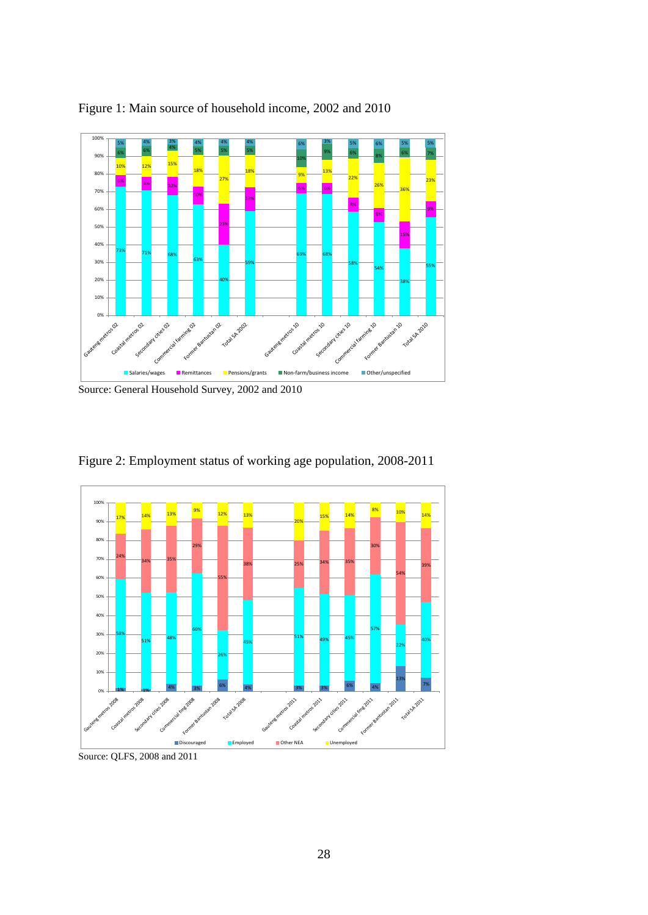

Figure 1: Main source of household income, 2002 and 2010

Source: General Household Survey, 2002 and 2010

Figure 2: Employment status of working age population, 2008-2011



Source: QLFS, 2008 and 2011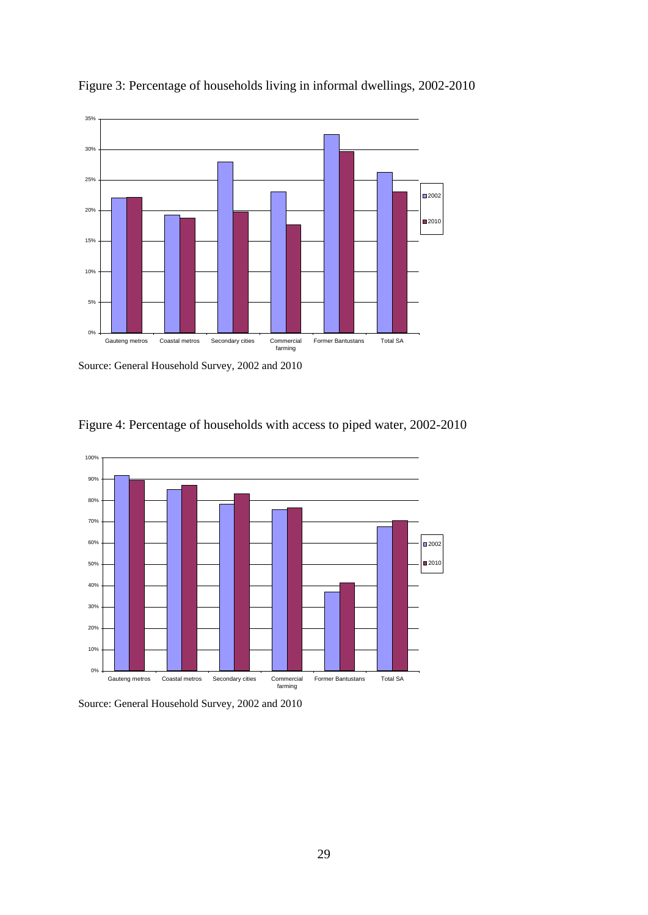

Figure 3: Percentage of households living in informal dwellings, 2002-2010

Source: General Household Survey, 2002 and 2010



Figure 4: Percentage of households with access to piped water, 2002-2010

Source: General Household Survey, 2002 and 2010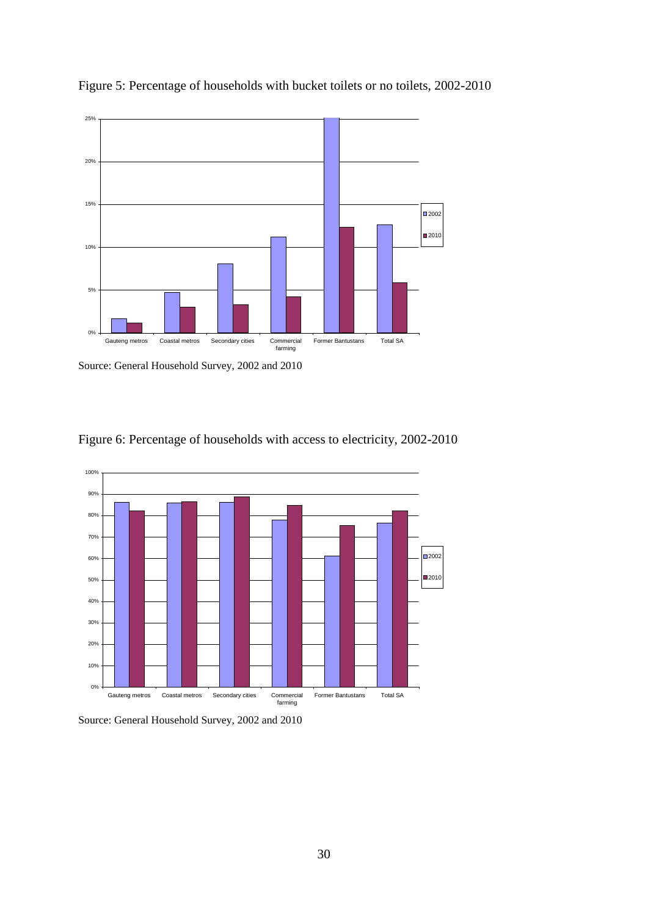

Figure 5: Percentage of households with bucket toilets or no toilets, 2002-2010

Source: General Household Survey, 2002 and 2010





Source: General Household Survey, 2002 and 2010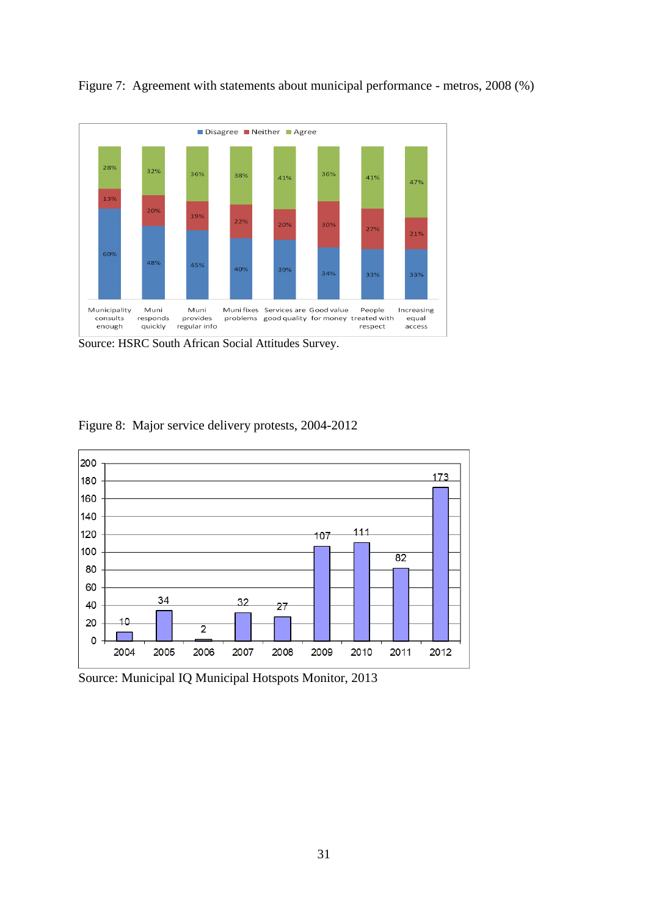

Figure 7: Agreement with statements about municipal performance - metros, 2008 (%)

Source: HSRC South African Social Attitudes Survey.





Source: Municipal IQ Municipal Hotspots Monitor, 2013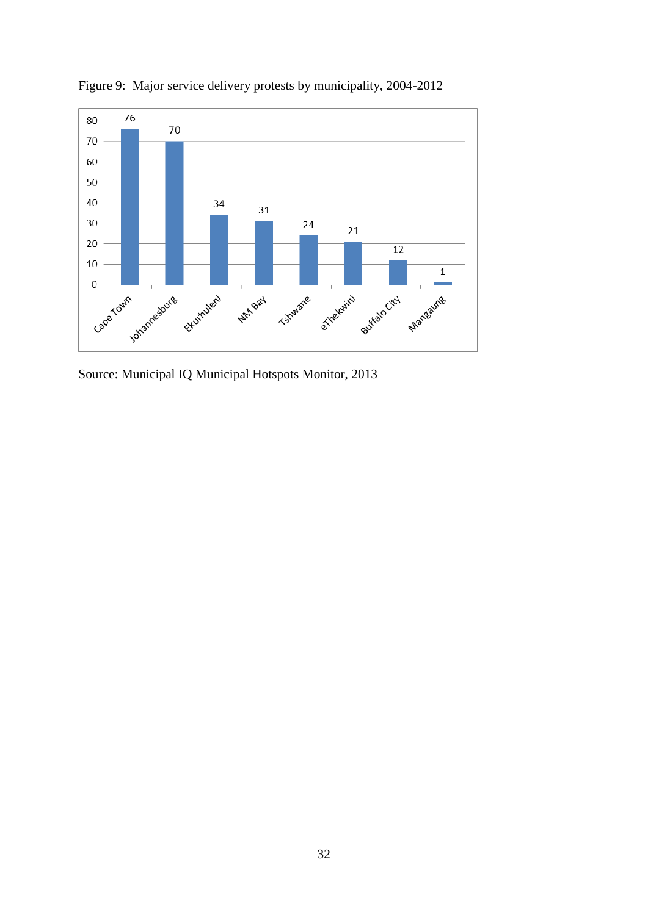

Figure 9: Major service delivery protests by municipality, 2004-2012

Source: Municipal IQ Municipal Hotspots Monitor, 2013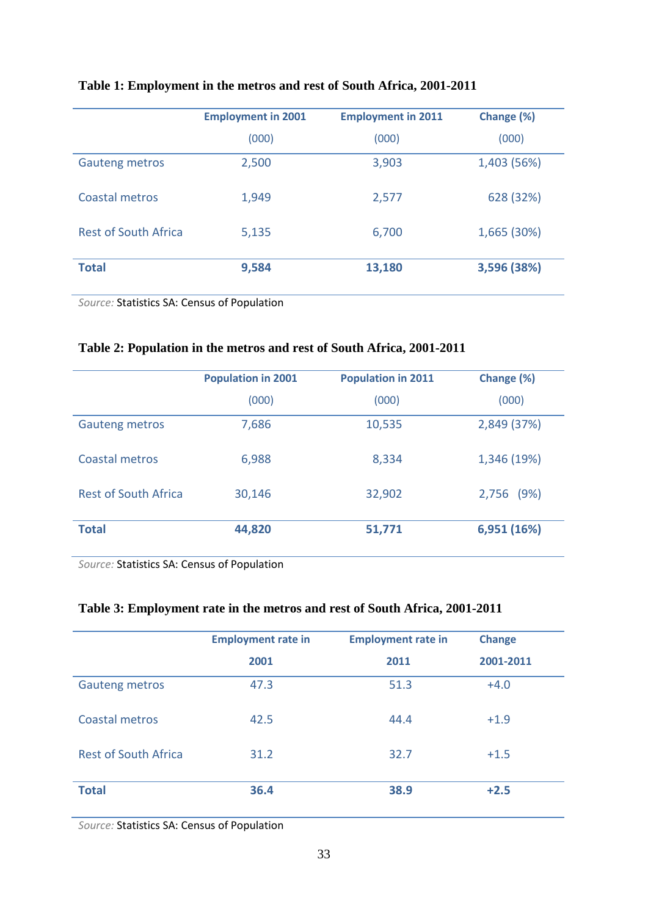|                             | <b>Employment in 2001</b> | <b>Employment in 2011</b> | Change (%)  |  |
|-----------------------------|---------------------------|---------------------------|-------------|--|
|                             | (000)                     | (000)                     | (000)       |  |
| Gauteng metros              | 2,500                     | 3,903                     | 1,403 (56%) |  |
| Coastal metros              | 1,949                     | 2,577                     | 628 (32%)   |  |
| <b>Rest of South Africa</b> | 5,135                     | 6,700                     | 1,665 (30%) |  |
| <b>Total</b>                | 9,584                     | 13,180                    | 3,596 (38%) |  |

# **Table 1: Employment in the metros and rest of South Africa, 2001-2011**

*Source:* Statistics SA: Census of Population

# **Table 2: Population in the metros and rest of South Africa, 2001-2011**

|                             | <b>Population in 2001</b> | <b>Population in 2011</b> | Change (%)  |  |
|-----------------------------|---------------------------|---------------------------|-------------|--|
|                             | (000)                     | (000)                     | (000)       |  |
| <b>Gauteng metros</b>       | 7,686                     | 10,535                    | 2,849 (37%) |  |
| Coastal metros              | 6,988                     | 8,334                     | 1,346 (19%) |  |
| <b>Rest of South Africa</b> | 30,146                    | 32,902                    | 2,756 (9%)  |  |
| <b>Total</b>                | 44,820                    | 51,771                    | 6,951 (16%) |  |

*Source:* Statistics SA: Census of Population

# **Table 3: Employment rate in the metros and rest of South Africa, 2001-2011**

|                             | <b>Employment rate in</b> | <b>Employment rate in</b> | <b>Change</b> |  |
|-----------------------------|---------------------------|---------------------------|---------------|--|
|                             | 2001                      | 2011                      | 2001-2011     |  |
| <b>Gauteng metros</b>       | 47.3                      | 51.3                      | $+4.0$        |  |
| Coastal metros              | 42.5                      | 44.4                      | $+1.9$        |  |
| <b>Rest of South Africa</b> | 31.2                      | 32.7                      | $+1.5$        |  |
| <b>Total</b>                | 36.4                      | 38.9                      | $+2.5$        |  |

*Source:* Statistics SA: Census of Population